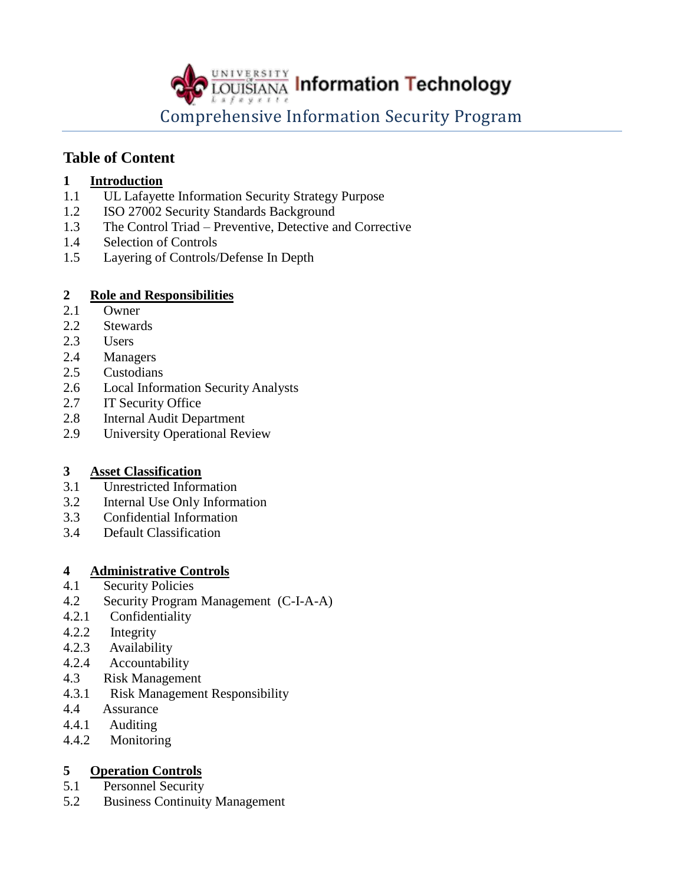**<u>UNIVERSITY</u> Information Technology** Comprehensive Information Security Program

#### **Table of Content**

#### **1 Introduction**

- 1.1 UL Lafayette Information Security Strategy Purpose
- 1.2 ISO 27002 Security Standards Background
- [1.3](http://security.tulane.edu/security-strategy.htm#_Toc112231456) The Control Triad Preventive, Detective and Corrective
- 1.[4](http://security.tulane.edu/security-strategy.htm#_Toc112231457) Selection of Controls
- 1.5 Layering of Controls/Defense In Depth

#### **2 Role and Responsibilities**

- 2.1 Owner
- 2.2 Stewards
- 2.3 Users
- 2.4 Managers
- 2.5 Custodians
- 2.6 Local Information Security Analysts
- 2.[7](http://security.tulane.edu/security-strategy.htm#_Toc112231466) IT Security Office
- 2.8 Internal Audit Department
- 2.9 University Operational Review

#### **3 Asset Classification**

- 3.1 Unrestricted Information
- 3.2 Internal Use Only Information
- 3.3 Confidential Information
- 3.4 Default Classification

#### **4 Administrative Controls**

- 4.1 Security Policies
- 4.2 Security Program Management (C-I-A-A)
- 4.2.1 Confidentiality
- 4.2.2 Integrity
- 4.2.3 Availability
- 4.2.4 Accountability
- 4.3 Risk Management
- 4.3.1 Risk Management Responsibility
- 4.4 Assurance
- 4.4.1 Auditing
- 4.4.2 Monitoring

#### **5 Operation Controls**

- 5.1 Personnel Security
- 5.2 Business Continuity Management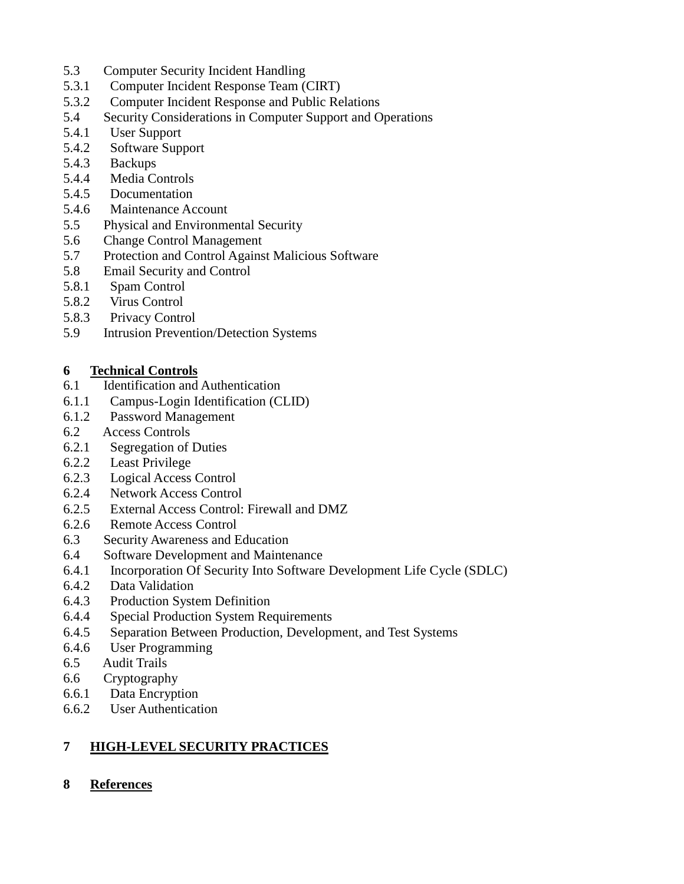- 5.3 Computer Security Incident Handling
- 5.3.1 Computer Incident Response Team (CIRT)
- 5.3.2 Computer Incident Response and Public Relations
- 5.4 Security Considerations in Computer Support and Operations
- 5.4.1 User Support
- 5.4.2 Software Support
- 5.4.3 Backups
- 5.4.4 Media Controls
- 5.4.5 Documentation
- [5.4.6](http://security.tulane.edu/security-strategy.htm#_Toc112231497) Maintenance Account
- [5.5](http://security.tulane.edu/security-strategy.htm#_Toc112231498) Physical and Environmental Security
- 5.6 Change Control Management
- 5.7 Protection and Control Against Malicious Software
- 5.8 Email Security and Control
- 5.8.1 Spam Control
- 5.8.2 Virus Control
- 5.8.3 Privacy Control
- 5.9 Intrusion Prevention/Detection Systems

#### **6 Technical Controls**

- 6.1 Identification and Authentication
- 6.1.1 Campus-Login Identification (CLID)
- 6.1.2 Password Management
- 6.2 Access Controls
- 6.2.1 Segregation of Duties
- 6.2.2 Least Privilege
- 6.2.3 Logical Access Control
- 6.2.4 Network Access Control
- 6.2.5 External Access Control: Firewall and DMZ
- 6.2.6 Remote Access Control
- 6.3 Security Awareness and Education
- 6.4 Software Development and Maintenance
- 6.4.1 Incorporation Of Security Into Software Development Life Cycle (SDLC)
- 6.4.2 Data Validation
- 6.4.3 Production System Definition
- 6.4.4 Special Production System Requirements
- 6.4.5 Separation Between Production, Development, and Test Systems
- 6.4.6 User Programming
- [6.5](http://security.tulane.edu/security-strategy.htm#_Toc112231525) Audit Trails
- 6.6 Cryptography
- 6.6.1 Data Encryption
- 6.6.2 User Authentication

#### **7 HIGH-LEVEL SECURITY PRACTICES**

#### **8 References**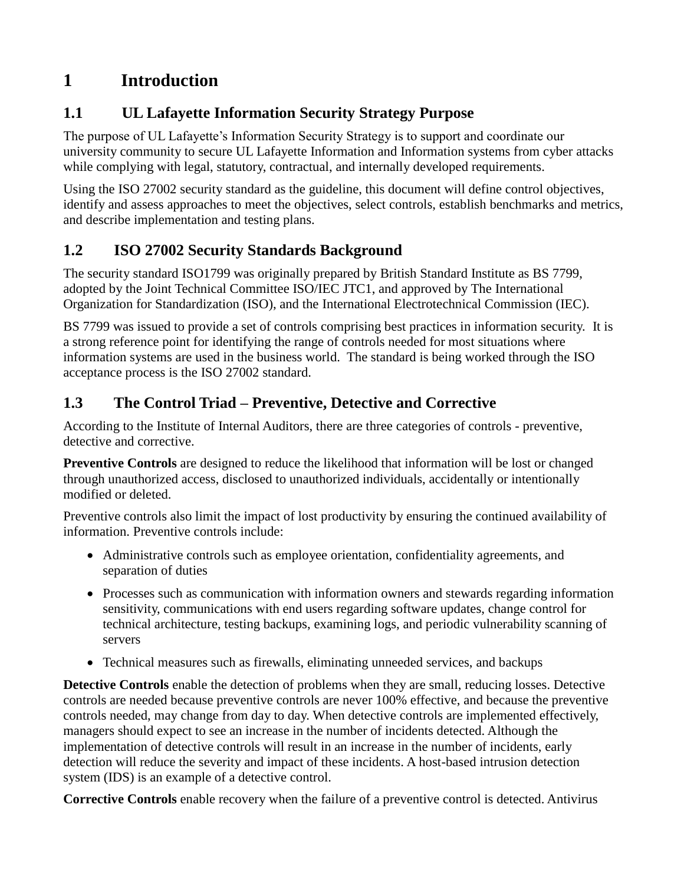# **1 Introduction**

# **1.1 UL Lafayette Information Security Strategy Purpose**

The purpose of UL Lafayette's Information Security Strategy is to support and coordinate our university community to secure UL Lafayette Information and Information systems from cyber attacks while complying with legal, statutory, contractual, and internally developed requirements.

Using the ISO 27002 security standard as the guideline, this document will define control objectives, identify and assess approaches to meet the objectives, select controls, establish benchmarks and metrics, and describe implementation and testing plans.

# **1.2 ISO 27002 Security Standards Background**

The security standard ISO1799 was originally prepared by British Standard Institute as BS 7799, adopted by the Joint Technical Committee ISO/IEC JTC1, and approved by The International Organization for Standardization (ISO), and the International Electrotechnical Commission (IEC).

BS 7799 was issued to provide a set of controls comprising best practices in information security. It is a strong reference point for identifying the range of controls needed for most situations where information systems are used in the business world. The standard is being worked through the ISO acceptance process is the ISO 27002 standard.

# **1.3 The Control Triad – Preventive, Detective and Corrective**

According to the Institute of Internal Auditors, there are three categories of controls - preventive, detective and corrective.

**Preventive Controls** are designed to reduce the likelihood that information will be lost or changed through unauthorized access, disclosed to unauthorized individuals, accidentally or intentionally modified or deleted.

Preventive controls also limit the impact of lost productivity by ensuring the continued availability of information. Preventive controls include:

- Administrative controls such as employee orientation, confidentiality agreements, and separation of duties
- Processes such as communication with information owners and stewards regarding information sensitivity, communications with end users regarding software updates, change control for technical architecture, testing backups, examining logs, and periodic vulnerability scanning of servers
- Technical measures such as firewalls, eliminating unneeded services, and backups

**Detective Controls** enable the detection of problems when they are small, reducing losses. Detective controls are needed because preventive controls are never 100% effective, and because the preventive controls needed, may change from day to day. When detective controls are implemented effectively, managers should expect to see an increase in the number of incidents detected. Although the implementation of detective controls will result in an increase in the number of incidents, early detection will reduce the severity and impact of these incidents. A host-based intrusion detection system (IDS) is an example of a detective control.

**Corrective Controls** enable recovery when the failure of a preventive control is detected. Antivirus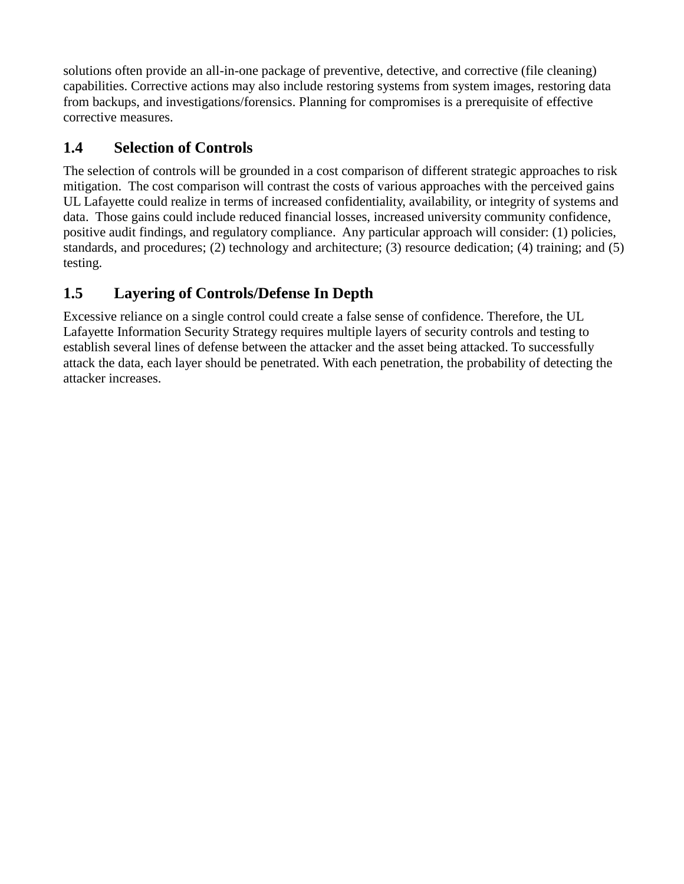solutions often provide an all-in-one package of preventive, detective, and corrective (file cleaning) capabilities. Corrective actions may also include restoring systems from system images, restoring data from backups, and investigations/forensics. Planning for compromises is a prerequisite of effective corrective measures.

### **1.4 Selection of Controls**

The selection of controls will be grounded in a cost comparison of different strategic approaches to risk mitigation. The cost comparison will contrast the costs of various approaches with the perceived gains UL Lafayette could realize in terms of increased confidentiality, availability, or integrity of systems and data. Those gains could include reduced financial losses, increased university community confidence, positive audit findings, and regulatory compliance. Any particular approach will consider: (1) policies, standards, and procedures; (2) technology and architecture; (3) resource dedication; (4) training; and (5) testing.

# **1.5 Layering of Controls/Defense In Depth**

Excessive reliance on a single control could create a false sense of confidence. Therefore, the UL Lafayette Information Security Strategy requires multiple layers of security controls and testing to establish several lines of defense between the attacker and the asset being attacked. To successfully attack the data, each layer should be penetrated. With each penetration, the probability of detecting the attacker increases.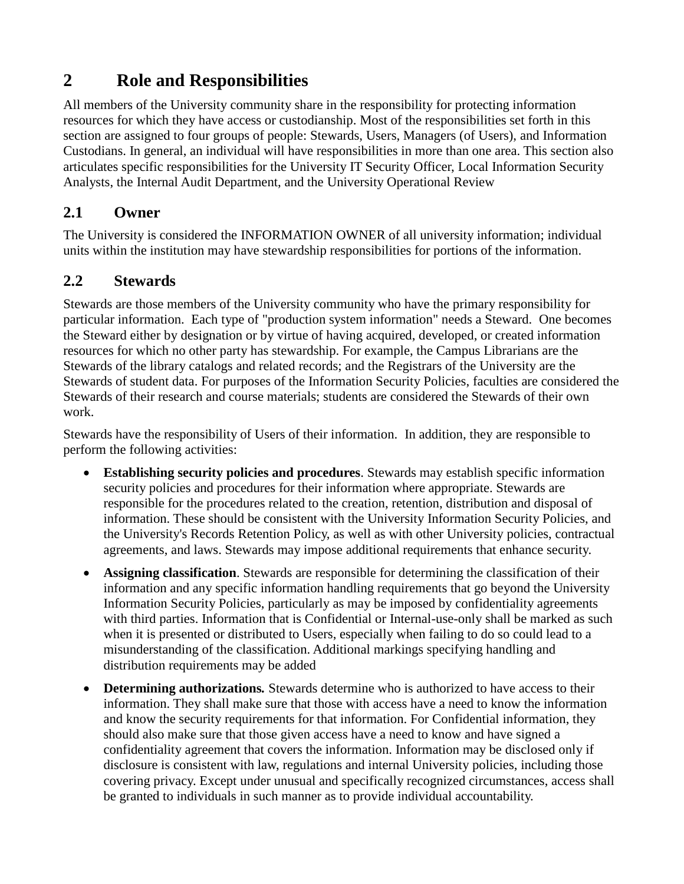# **2 Role and Responsibilities**

All members of the University community share in the responsibility for protecting information resources for which they have access or custodianship. Most of the responsibilities set forth in this section are assigned to four groups of people: Stewards, Users, Managers (of Users), and Information Custodians. In general, an individual will have responsibilities in more than one area. This section also articulates specific responsibilities for the University IT Security Officer, Local Information Security Analysts, the Internal Audit Department, and the University Operational Review

### **2.1 Owner**

The University is considered the INFORMATION OWNER of all university information; individual units within the institution may have stewardship responsibilities for portions of the information.

### **2.2 Stewards**

Stewards are those members of the University community who have the primary responsibility for particular information. Each type of "production system information" needs a Steward. One becomes the Steward either by designation or by virtue of having acquired, developed, or created information resources for which no other party has stewardship. For example, the Campus Librarians are the Stewards of the library catalogs and related records; and the Registrars of the University are the Stewards of student data. For purposes of the Information Security Policies, faculties are considered the Stewards of their research and course materials; students are considered the Stewards of their own work.

Stewards have the responsibility of Users of their information. In addition, they are responsible to perform the following activities:

- **Establishing security policies and procedures**. Stewards may establish specific information security policies and procedures for their information where appropriate. Stewards are responsible for the procedures related to the creation, retention, distribution and disposal of information. These should be consistent with the University Information Security Policies, and the University's Records Retention Policy, as well as with other University policies, contractual agreements, and laws. Stewards may impose additional requirements that enhance security.
- **Assigning classification**. Stewards are responsible for determining the classification of their information and any specific information handling requirements that go beyond the University Information Security Policies, particularly as may be imposed by confidentiality agreements with third parties. Information that is Confidential or Internal-use-only shall be marked as such when it is presented or distributed to Users, especially when failing to do so could lead to a misunderstanding of the classification. Additional markings specifying handling and distribution requirements may be added
- **Determining authorizations***.* Stewards determine who is authorized to have access to their information. They shall make sure that those with access have a need to know the information and know the security requirements for that information. For Confidential information, they should also make sure that those given access have a need to know and have signed a confidentiality agreement that covers the information. Information may be disclosed only if disclosure is consistent with law, regulations and internal University policies, including those covering privacy. Except under unusual and specifically recognized circumstances, access shall be granted to individuals in such manner as to provide individual accountability.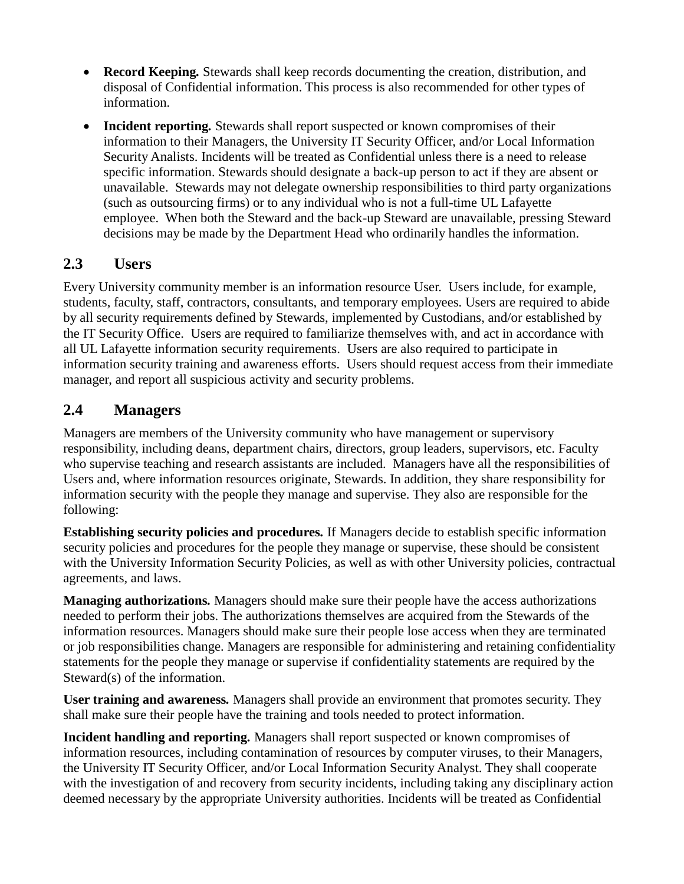- **Record Keeping***.* Stewards shall keep records documenting the creation, distribution, and disposal of Confidential information. This process is also recommended for other types of information.
- **Incident reporting***.* Stewards shall report suspected or known compromises of their information to their Managers, the University IT Security Officer, and/or Local Information Security Analists. Incidents will be treated as Confidential unless there is a need to release specific information. Stewards should designate a back-up person to act if they are absent or unavailable. Stewards may not delegate ownership responsibilities to third party organizations (such as outsourcing firms) or to any individual who is not a full-time UL Lafayette employee. When both the Steward and the back-up Steward are unavailable, pressing Steward decisions may be made by the Department Head who ordinarily handles the information.

#### **2.3 Users**

Every University community member is an information resource User. Users include, for example, students, faculty, staff, contractors, consultants, and temporary employees. Users are required to abide by all security requirements defined by Stewards, implemented by Custodians, and/or established by the IT Security Office. Users are required to familiarize themselves with, and act in accordance with all UL Lafayette information security requirements. Users are also required to participate in information security training and awareness efforts. Users should request access from their immediate manager, and report all suspicious activity and security problems.

### **2.4 Managers**

Managers are members of the University community who have management or supervisory responsibility, including deans, department chairs, directors, group leaders, supervisors, etc. Faculty who supervise teaching and research assistants are included. Managers have all the responsibilities of Users and, where information resources originate, Stewards. In addition, they share responsibility for information security with the people they manage and supervise. They also are responsible for the following:

**Establishing security policies and procedures***.* If Managers decide to establish specific information security policies and procedures for the people they manage or supervise, these should be consistent with the University Information Security Policies, as well as with other University policies, contractual agreements, and laws.

**Managing authorizations***.* Managers should make sure their people have the access authorizations needed to perform their jobs. The authorizations themselves are acquired from the Stewards of the information resources. Managers should make sure their people lose access when they are terminated or job responsibilities change. Managers are responsible for administering and retaining confidentiality statements for the people they manage or supervise if confidentiality statements are required by the Steward(s) of the information.

**User training and awareness***.* Managers shall provide an environment that promotes security. They shall make sure their people have the training and tools needed to protect information.

**Incident handling and reporting***.* Managers shall report suspected or known compromises of information resources, including contamination of resources by computer viruses, to their Managers, the University IT Security Officer, and/or Local Information Security Analyst. They shall cooperate with the investigation of and recovery from security incidents, including taking any disciplinary action deemed necessary by the appropriate University authorities. Incidents will be treated as Confidential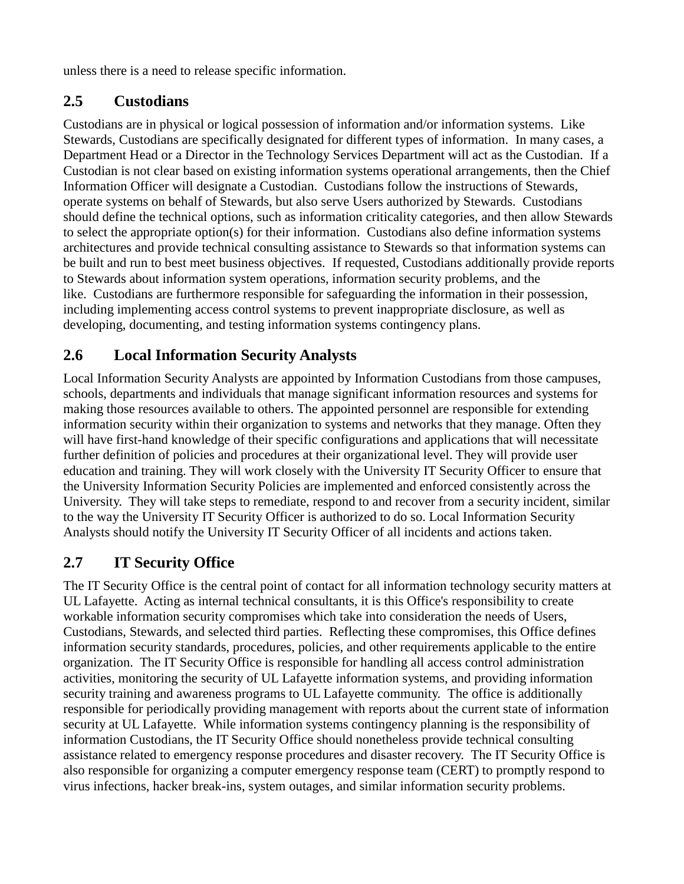unless there is a need to release specific information.

#### **2.5 Custodians**

Custodians are in physical or logical possession of information and/or information systems. Like Stewards, Custodians are specifically designated for different types of information. In many cases, a Department Head or a Director in the Technology Services Department will act as the Custodian. If a Custodian is not clear based on existing information systems operational arrangements, then the Chief Information Officer will designate a Custodian. Custodians follow the instructions of Stewards, operate systems on behalf of Stewards, but also serve Users authorized by Stewards. Custodians should define the technical options, such as information criticality categories, and then allow Stewards to select the appropriate option(s) for their information. Custodians also define information systems architectures and provide technical consulting assistance to Stewards so that information systems can be built and run to best meet business objectives. If requested, Custodians additionally provide reports to Stewards about information system operations, information security problems, and the like. Custodians are furthermore responsible for safeguarding the information in their possession, including implementing access control systems to prevent inappropriate disclosure, as well as developing, documenting, and testing information systems contingency plans.

### **2.6 Local Information Security Analysts**

Local Information Security Analysts are appointed by Information Custodians from those campuses, schools, departments and individuals that manage significant information resources and systems for making those resources available to others. The appointed personnel are responsible for extending information security within their organization to systems and networks that they manage. Often they will have first-hand knowledge of their specific configurations and applications that will necessitate further definition of policies and procedures at their organizational level. They will provide user education and training. They will work closely with the University IT Security Officer to ensure that the University Information Security Policies are implemented and enforced consistently across the University. They will take steps to remediate, respond to and recover from a security incident, similar to the way the University IT Security Officer is authorized to do so. Local Information Security Analysts should notify the University IT Security Officer of all incidents and actions taken.

### **2.7 IT Security Office**

The IT Security Office is the central point of contact for all information technology security matters at UL Lafayette. Acting as internal technical consultants, it is this Office's responsibility to create workable information security compromises which take into consideration the needs of Users, Custodians, Stewards, and selected third parties. Reflecting these compromises, this Office defines information security standards, procedures, policies, and other requirements applicable to the entire organization. The IT Security Office is responsible for handling all access control administration activities, monitoring the security of UL Lafayette information systems, and providing information security training and awareness programs to UL Lafayette community. The office is additionally responsible for periodically providing management with reports about the current state of information security at UL Lafayette. While information systems contingency planning is the responsibility of information Custodians, the IT Security Office should nonetheless provide technical consulting assistance related to emergency response procedures and disaster recovery. The IT Security Office is also responsible for organizing a computer emergency response team (CERT) to promptly respond to virus infections, hacker break-ins, system outages, and similar information security problems.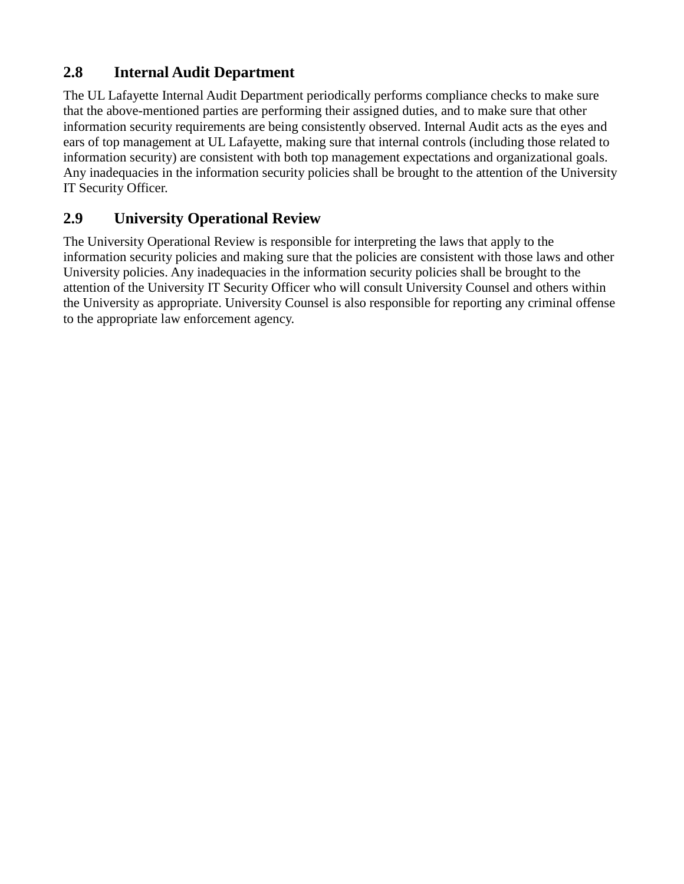## **2.8 Internal Audit Department**

The UL Lafayette Internal Audit Department periodically performs compliance checks to make sure that the above-mentioned parties are performing their assigned duties, and to make sure that other information security requirements are being consistently observed. Internal Audit acts as the eyes and ears of top management at UL Lafayette, making sure that internal controls (including those related to information security) are consistent with both top management expectations and organizational goals. Any inadequacies in the information security policies shall be brought to the attention of the University IT Security Officer.

#### **2.9 University Operational Review**

The University Operational Review is responsible for interpreting the laws that apply to the information security policies and making sure that the policies are consistent with those laws and other University policies. Any inadequacies in the information security policies shall be brought to the attention of the University IT Security Officer who will consult University Counsel and others within the University as appropriate. University Counsel is also responsible for reporting any criminal offense to the appropriate law enforcement agency.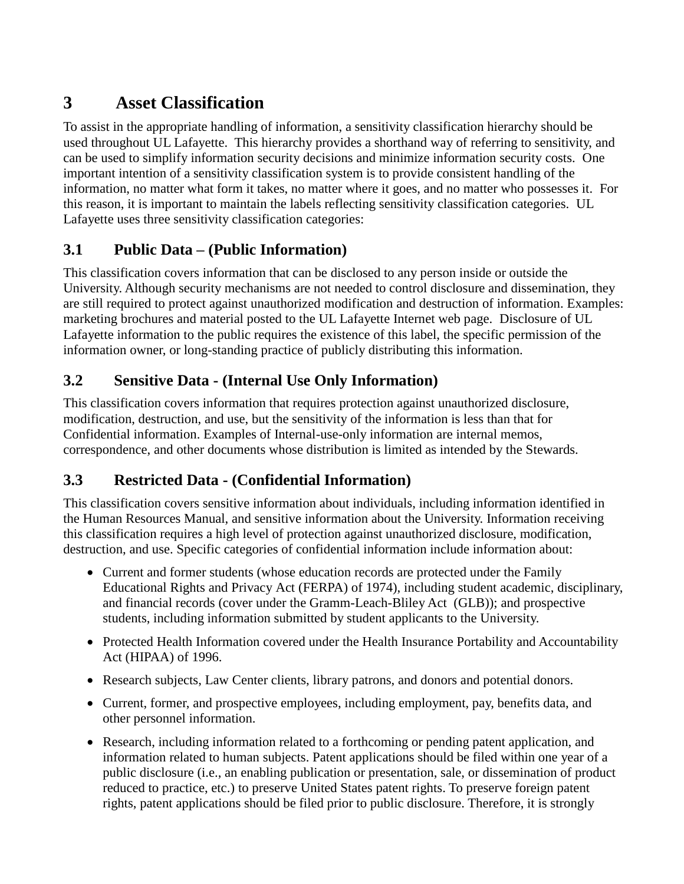# **3 Asset Classification**

To assist in the appropriate handling of information, a sensitivity classification hierarchy should be used throughout UL Lafayette. This hierarchy provides a shorthand way of referring to sensitivity, and can be used to simplify information security decisions and minimize information security costs. One important intention of a sensitivity classification system is to provide consistent handling of the information, no matter what form it takes, no matter where it goes, and no matter who possesses it. For this reason, it is important to maintain the labels reflecting sensitivity classification categories. UL Lafayette uses three sensitivity classification categories:

# **3.1 Public Data – (Public Information)**

This classification covers information that can be disclosed to any person inside or outside the University. Although security mechanisms are not needed to control disclosure and dissemination, they are still required to protect against unauthorized modification and destruction of information. Examples: marketing brochures and material posted to the UL Lafayette Internet web page. Disclosure of UL Lafayette information to the public requires the existence of this label, the specific permission of the information owner, or long-standing practice of publicly distributing this information.

# **3.2 Sensitive Data - (Internal Use Only Information)**

This classification covers information that requires protection against unauthorized disclosure, modification, destruction, and use, but the sensitivity of the information is less than that for Confidential information. Examples of Internal-use-only information are internal memos, correspondence, and other documents whose distribution is limited as intended by the Stewards.

# **3.3 Restricted Data - (Confidential Information)**

This classification covers sensitive information about individuals, including information identified in the Human Resources Manual, and sensitive information about the University. Information receiving this classification requires a high level of protection against unauthorized disclosure, modification, destruction, and use. Specific categories of confidential information include information about:

- Current and former students (whose education records are protected under the Family Educational Rights and Privacy Act (FERPA) of 1974), including student academic, disciplinary, and financial records (cover under the Gramm-Leach-Bliley Act (GLB)); and prospective students, including information submitted by student applicants to the University.
- Protected Health Information covered under the Health Insurance Portability and Accountability Act (HIPAA) of 1996.
- Research subjects, Law Center clients, library patrons, and donors and potential donors.
- Current, former, and prospective employees, including employment, pay, benefits data, and other personnel information.
- Research, including information related to a forthcoming or pending patent application, and information related to human subjects. Patent applications should be filed within one year of a public disclosure (i.e., an enabling publication or presentation, sale, or dissemination of product reduced to practice, etc.) to preserve United States patent rights. To preserve foreign patent rights, patent applications should be filed prior to public disclosure. Therefore, it is strongly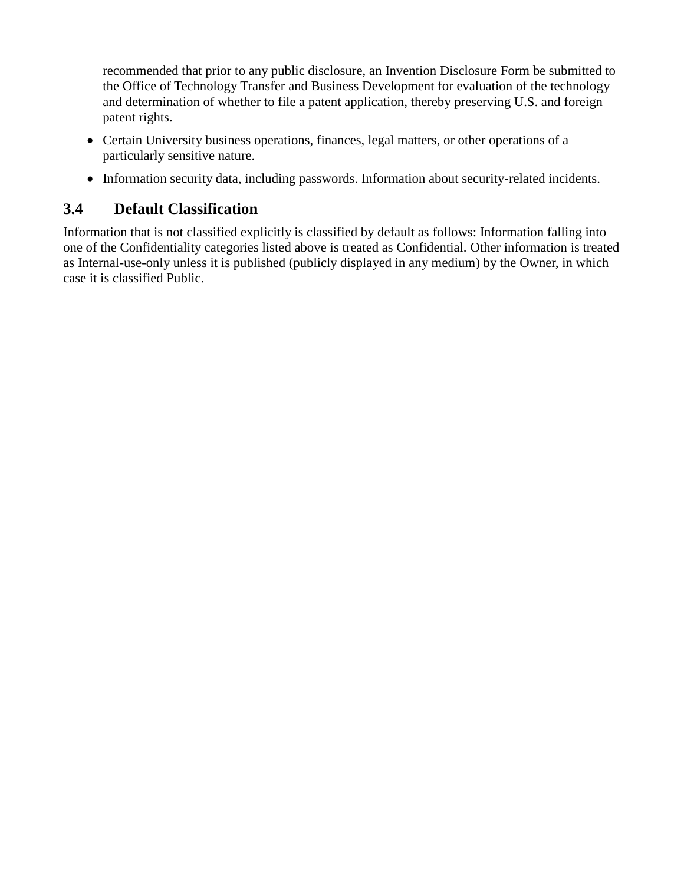recommended that prior to any public disclosure, an Invention Disclosure Form be submitted to the Office of Technology Transfer and Business Development for evaluation of the technology and determination of whether to file a patent application, thereby preserving U.S. and foreign patent rights.

- Certain University business operations, finances, legal matters, or other operations of a particularly sensitive nature.
- Information security data, including passwords. Information about security-related incidents.

## **3.4 Default Classification**

Information that is not classified explicitly is classified by default as follows: Information falling into one of the Confidentiality categories listed above is treated as Confidential. Other information is treated as Internal-use-only unless it is published (publicly displayed in any medium) by the Owner, in which case it is classified Public.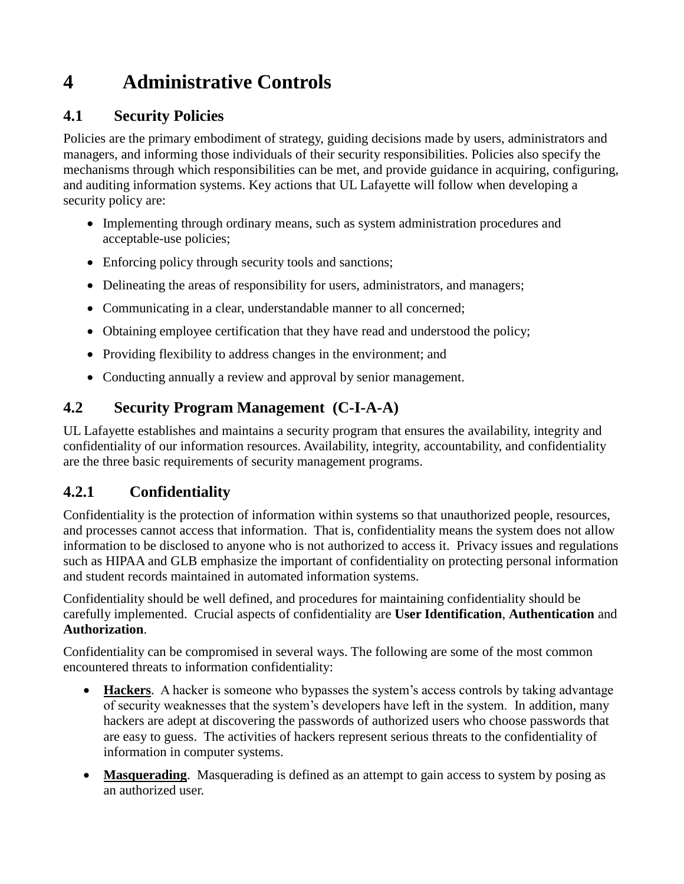# **4 Administrative Controls**

### **4.1 Security Policies**

Policies are the primary embodiment of strategy, guiding decisions made by users, administrators and managers, and informing those individuals of their security responsibilities. Policies also specify the mechanisms through which responsibilities can be met, and provide guidance in acquiring, configuring, and auditing information systems. Key actions that UL Lafayette will follow when developing a security policy are:

- Implementing through ordinary means, such as system administration procedures and acceptable-use policies;
- Enforcing policy through security tools and sanctions;
- Delineating the areas of responsibility for users, administrators, and managers;
- Communicating in a clear, understandable manner to all concerned;
- Obtaining employee certification that they have read and understood the policy;
- Providing flexibility to address changes in the environment; and
- Conducting annually a review and approval by senior management.

# **4.2 Security Program Management (C-I-A-A)**

UL Lafayette establishes and maintains a security program that ensures the availability, integrity and confidentiality of our information resources. Availability, integrity, accountability, and confidentiality are the three basic requirements of security management programs.

### **4.2.1 Confidentiality**

Confidentiality is the protection of information within systems so that unauthorized people, resources, and processes cannot access that information. That is, confidentiality means the system does not allow information to be disclosed to anyone who is not authorized to access it. Privacy issues and regulations such as HIPAA and GLB emphasize the important of confidentiality on protecting personal information and student records maintained in automated information systems.

Confidentiality should be well defined, and procedures for maintaining confidentiality should be carefully implemented. Crucial aspects of confidentiality are **User Identification**, **Authentication** and **Authorization**.

Confidentiality can be compromised in several ways. The following are some of the most common encountered threats to information confidentiality:

- **Hackers**. A hacker is someone who bypasses the system's access controls by taking advantage of security weaknesses that the system's developers have left in the system. In addition, many hackers are adept at discovering the passwords of authorized users who choose passwords that are easy to guess. The activities of hackers represent serious threats to the confidentiality of information in computer systems.
- **Masquerading**. Masquerading is defined as an attempt to gain access to system by posing as an authorized user.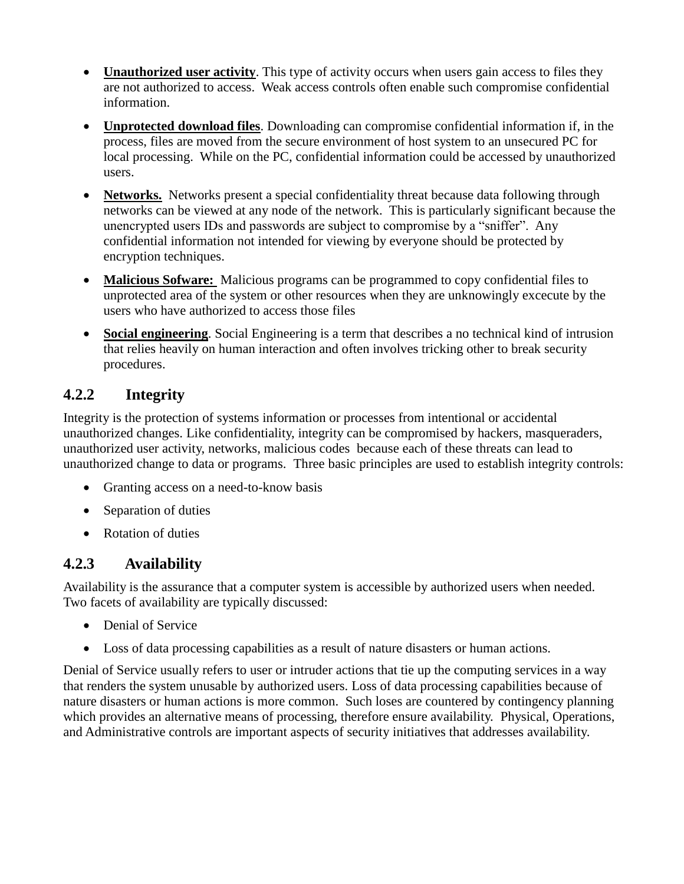- **Unauthorized user activity**. This type of activity occurs when users gain access to files they are not authorized to access. Weak access controls often enable such compromise confidential information.
- **Unprotected download files**. Downloading can compromise confidential information if, in the process, files are moved from the secure environment of host system to an unsecured PC for local processing. While on the PC, confidential information could be accessed by unauthorized users.
- Networks. Networks present a special confidentiality threat because data following through networks can be viewed at any node of the network. This is particularly significant because the unencrypted users IDs and passwords are subject to compromise by a "sniffer". Any confidential information not intended for viewing by everyone should be protected by encryption techniques.
- **Malicious Sofware:** Malicious programs can be programmed to copy confidential files to unprotected area of the system or other resources when they are unknowingly excecute by the users who have authorized to access those files
- **Social engineering**. Social Engineering is a term that describes a no technical kind of intrusion that relies heavily on human interaction and often involves tricking other to break security procedures.

### **4.2.2 Integrity**

Integrity is the protection of systems information or processes from intentional or accidental unauthorized changes. Like confidentiality, integrity can be compromised by hackers, masqueraders, unauthorized user activity, networks, malicious codes because each of these threats can lead to unauthorized change to data or programs. Three basic principles are used to establish integrity controls:

- Granting access on a need-to-know basis
- Separation of duties
- Rotation of duties

# **4.2.3 Availability**

Availability is the assurance that a computer system is accessible by authorized users when needed. Two facets of availability are typically discussed:

- Denial of Service
- Loss of data processing capabilities as a result of nature disasters or human actions.

Denial of Service usually refers to user or intruder actions that tie up the computing services in a way that renders the system unusable by authorized users. Loss of data processing capabilities because of nature disasters or human actions is more common. Such loses are countered by contingency planning which provides an alternative means of processing, therefore ensure availability. Physical, Operations, and Administrative controls are important aspects of security initiatives that addresses availability.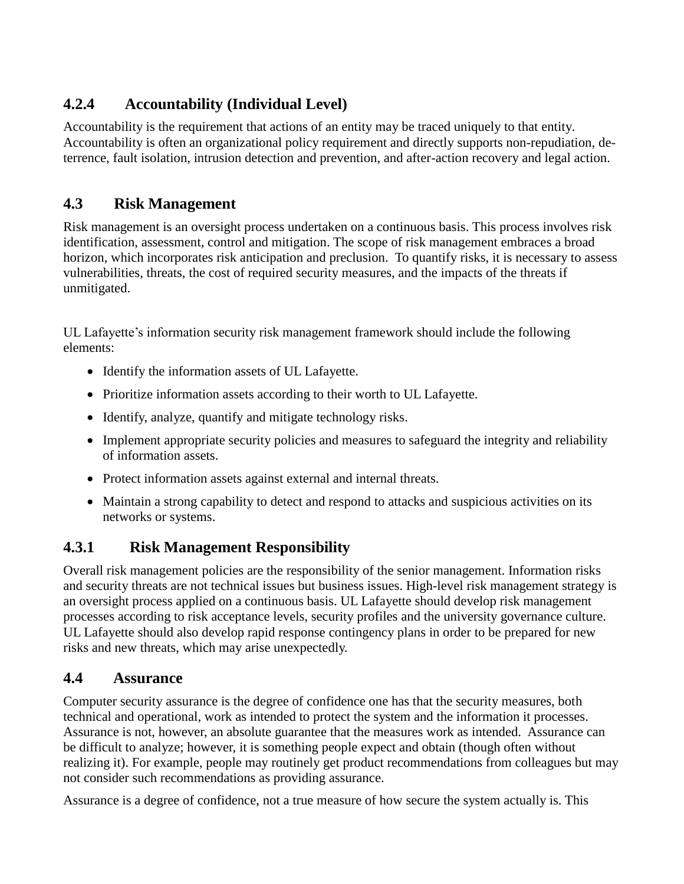# **4.2.4 Accountability (Individual Level)**

Accountability is the requirement that actions of an entity may be traced uniquely to that entity. Accountability is often an organizational policy requirement and directly supports non-repudiation, deterrence, fault isolation, intrusion detection and prevention, and after-action recovery and legal action.

### **4.3 Risk Management**

Risk management is an oversight process undertaken on a continuous basis. This process involves risk identification, assessment, control and mitigation. The scope of risk management embraces a broad horizon, which incorporates risk anticipation and preclusion. To quantify risks, it is necessary to assess vulnerabilities, threats, the cost of required security measures, and the impacts of the threats if unmitigated.

UL Lafayette's information security risk management framework should include the following elements:

- Identify the information assets of UL Lafayette.
- Prioritize information assets according to their worth to UL Lafayette.
- Identify, analyze, quantify and mitigate technology risks.
- Implement appropriate security policies and measures to safeguard the integrity and reliability of information assets.
- Protect information assets against external and internal threats.
- Maintain a strong capability to detect and respond to attacks and suspicious activities on its networks or systems.

# **4.3.1 Risk Management Responsibility**

Overall risk management policies are the responsibility of the senior management. Information risks and security threats are not technical issues but business issues. High-level risk management strategy is an oversight process applied on a continuous basis. UL Lafayette should develop risk management processes according to risk acceptance levels, security profiles and the university governance culture. UL Lafayette should also develop rapid response contingency plans in order to be prepared for new risks and new threats, which may arise unexpectedly.

#### **4.4 Assurance**

Computer security assurance is the degree of confidence one has that the security measures, both technical and operational, work as intended to protect the system and the information it processes. Assurance is not, however, an absolute guarantee that the measures work as intended. Assurance can be difficult to analyze; however, it is something people expect and obtain (though often without realizing it). For example, people may routinely get product recommendations from colleagues but may not consider such recommendations as providing assurance.

Assurance is a degree of confidence, not a true measure of how secure the system actually is. This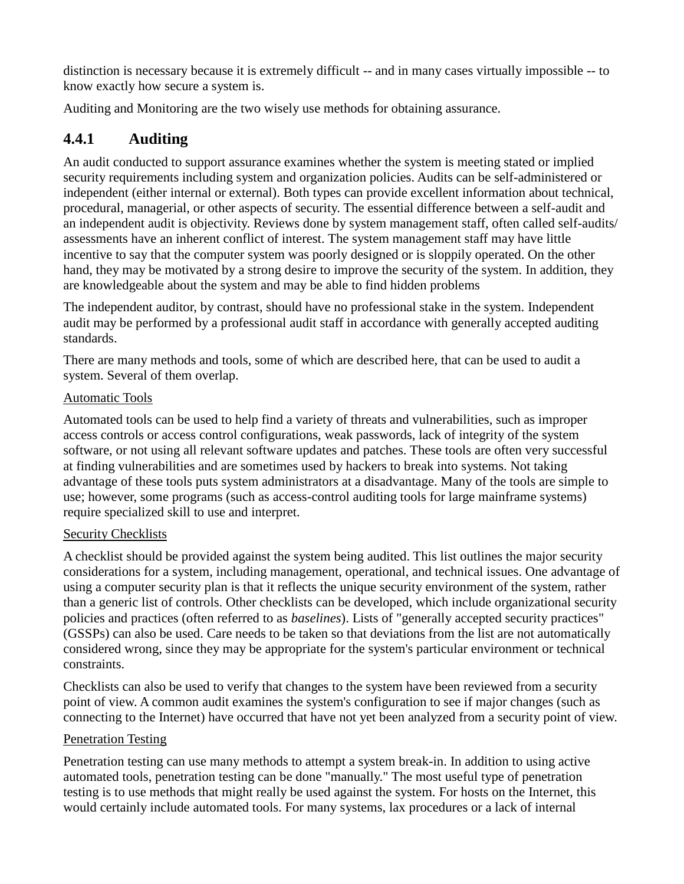distinction is necessary because it is extremely difficult -- and in many cases virtually impossible -- to know exactly how secure a system is.

Auditing and Monitoring are the two wisely use methods for obtaining assurance.

# **4.4.1 Auditing**

An audit conducted to support assurance examines whether the system is meeting stated or implied security requirements including system and organization policies. Audits can be self-administered or independent (either internal or external). Both types can provide excellent information about technical, procedural, managerial, or other aspects of security. The essential difference between a self-audit and an independent audit is objectivity. Reviews done by system management staff, often called self-audits/ assessments have an inherent conflict of interest. The system management staff may have little incentive to say that the computer system was poorly designed or is sloppily operated. On the other hand, they may be motivated by a strong desire to improve the security of the system. In addition, they are knowledgeable about the system and may be able to find hidden problems

The independent auditor, by contrast, should have no professional stake in the system. Independent audit may be performed by a professional audit staff in accordance with generally accepted auditing standards.

There are many methods and tools, some of which are described here, that can be used to audit a system. Several of them overlap.

#### Automatic Tools

Automated tools can be used to help find a variety of threats and vulnerabilities, such as improper access controls or access control configurations, weak passwords, lack of integrity of the system software, or not using all relevant software updates and patches. These tools are often very successful at finding vulnerabilities and are sometimes used by hackers to break into systems. Not taking advantage of these tools puts system administrators at a disadvantage. Many of the tools are simple to use; however, some programs (such as access-control auditing tools for large mainframe systems) require specialized skill to use and interpret.

#### Security Checklists

A checklist should be provided against the system being audited. This list outlines the major security considerations for a system, including management, operational, and technical issues. One advantage of using a computer security plan is that it reflects the unique security environment of the system, rather than a generic list of controls. Other checklists can be developed, which include organizational security policies and practices (often referred to as *baselines*). Lists of "generally accepted security practices" (GSSPs) can also be used. Care needs to be taken so that deviations from the list are not automatically considered wrong, since they may be appropriate for the system's particular environment or technical constraints.

Checklists can also be used to verify that changes to the system have been reviewed from a security point of view. A common audit examines the system's configuration to see if major changes (such as connecting to the Internet) have occurred that have not yet been analyzed from a security point of view.

#### Penetration Testing

Penetration testing can use many methods to attempt a system break-in. In addition to using active automated tools, penetration testing can be done "manually." The most useful type of penetration testing is to use methods that might really be used against the system. For hosts on the Internet, this would certainly include automated tools. For many systems, lax procedures or a lack of internal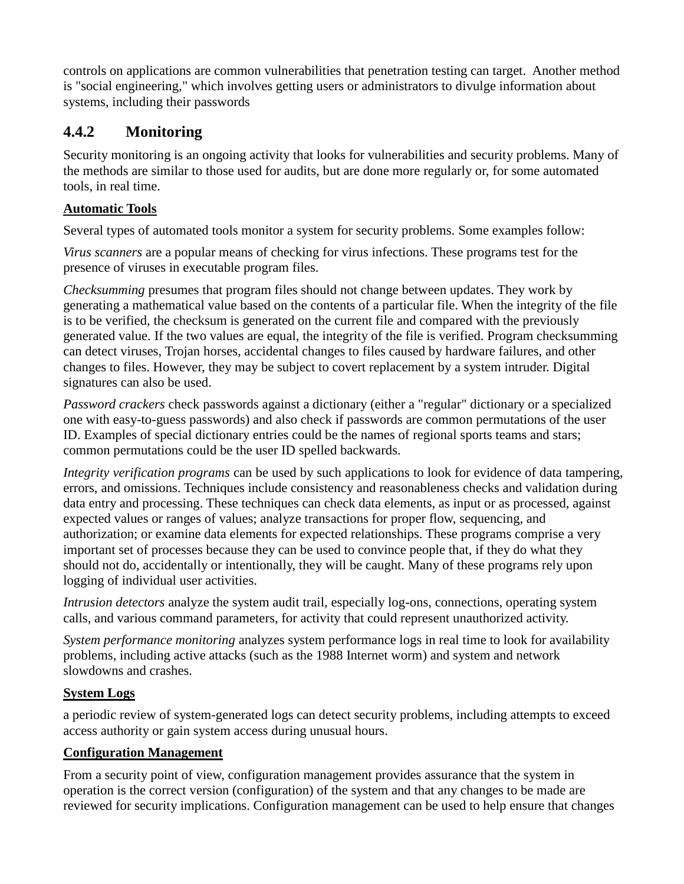controls on applications are common vulnerabilities that penetration testing can target. Another method is "social engineering," which involves getting users or administrators to divulge information about systems, including their passwords

#### **4.4.2 Monitoring**

Security monitoring is an ongoing activity that looks for vulnerabilities and security problems. Many of the methods are similar to those used for audits, but are done more regularly or, for some automated tools, in real time.

#### **Automatic Tools**

Several types of automated tools monitor a system for security problems. Some examples follow:

*Virus scanners* are a popular means of checking for virus infections. These programs test for the presence of viruses in executable program files.

*Checksumming* presumes that program files should not change between updates. They work by generating a mathematical value based on the contents of a particular file. When the integrity of the file is to be verified, the checksum is generated on the current file and compared with the previously generated value. If the two values are equal, the integrity of the file is verified. Program checksumming can detect viruses, Trojan horses, accidental changes to files caused by hardware failures, and other changes to files. However, they may be subject to covert replacement by a system intruder. Digital signatures can also be used.

*Password crackers* check passwords against a dictionary (either a "regular" dictionary or a specialized one with easy-to-guess passwords) and also check if passwords are common permutations of the user ID. Examples of special dictionary entries could be the names of regional sports teams and stars; common permutations could be the user ID spelled backwards.

*Integrity verification programs* can be used by such applications to look for evidence of data tampering, errors, and omissions. Techniques include consistency and reasonableness checks and validation during data entry and processing. These techniques can check data elements, as input or as processed, against expected values or ranges of values; analyze transactions for proper flow, sequencing, and authorization; or examine data elements for expected relationships. These programs comprise a very important set of processes because they can be used to convince people that, if they do what they should not do, accidentally or intentionally, they will be caught. Many of these programs rely upon logging of individual user activities.

*Intrusion detectors* analyze the system audit trail, especially log-ons, connections, operating system calls, and various command parameters, for activity that could represent unauthorized activity.

*System performance monitoring* analyzes system performance logs in real time to look for availability problems, including active attacks (such as the 1988 Internet worm) and system and network slowdowns and crashes.

#### **System Logs**

a periodic review of system-generated logs can detect security problems, including attempts to exceed access authority or gain system access during unusual hours.

#### **Configuration Management**

From a security point of view, configuration management provides assurance that the system in operation is the correct version (configuration) of the system and that any changes to be made are reviewed for security implications. Configuration management can be used to help ensure that changes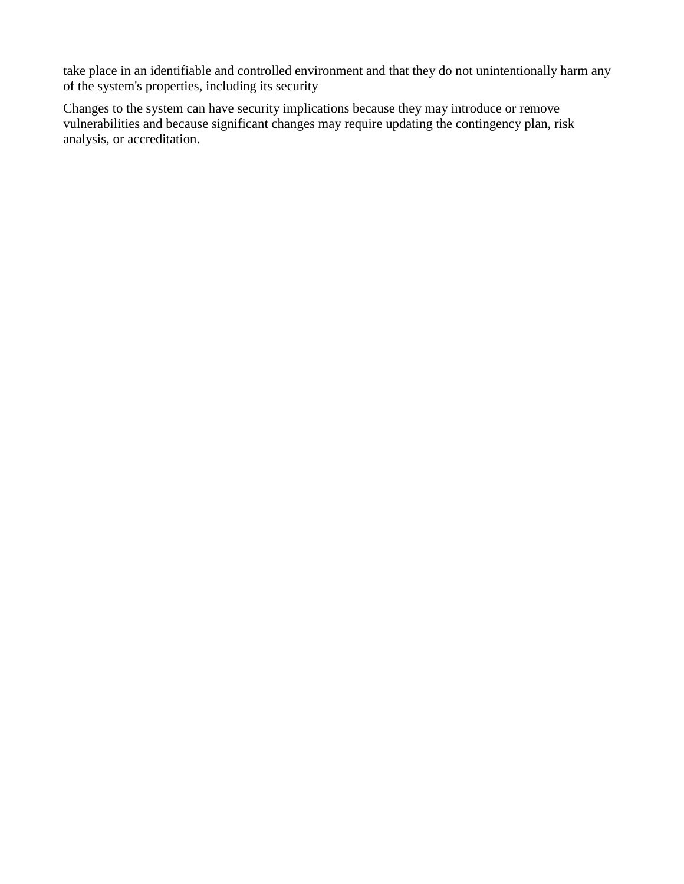take place in an identifiable and controlled environment and that they do not unintentionally harm any of the system's properties, including its security

Changes to the system can have security implications because they may introduce or remove vulnerabilities and because significant changes may require updating the contingency plan, risk analysis, or accreditation.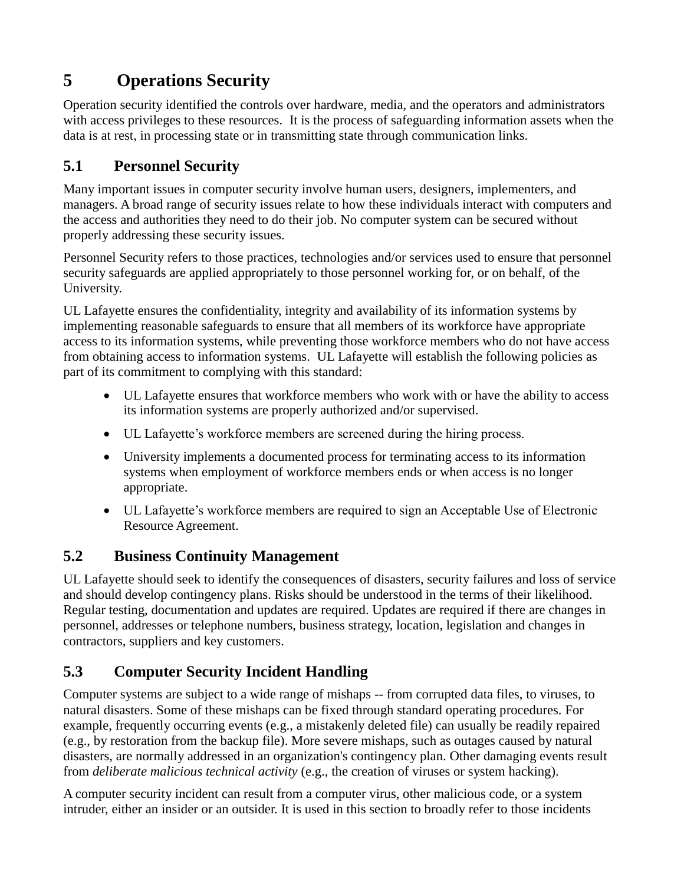# **5 Operations Security**

Operation security identified the controls over hardware, media, and the operators and administrators with access privileges to these resources. It is the process of safeguarding information assets when the data is at rest, in processing state or in transmitting state through communication links.

### **5.1 Personnel Security**

Many important issues in computer security involve human users, designers, implementers, and managers. A broad range of security issues relate to how these individuals interact with computers and the access and authorities they need to do their job. No computer system can be secured without properly addressing these security issues.

Personnel Security refers to those practices, technologies and/or services used to ensure that personnel security safeguards are applied appropriately to those personnel working for, or on behalf, of the University.

UL Lafayette ensures the confidentiality, integrity and availability of its information systems by implementing reasonable safeguards to ensure that all members of its workforce have appropriate access to its information systems, while preventing those workforce members who do not have access from obtaining access to information systems. UL Lafayette will establish the following policies as part of its commitment to complying with this standard:

- UL Lafayette ensures that workforce members who work with or have the ability to access its information systems are properly authorized and/or supervised.
- UL Lafayette's workforce members are screened during the hiring process.
- University implements a documented process for terminating access to its information systems when employment of workforce members ends or when access is no longer appropriate.
- UL Lafayette's workforce members are required to sign an Acceptable Use of Electronic Resource Agreement.

### **5.2 Business Continuity Management**

UL Lafayette should seek to identify the consequences of disasters, security failures and loss of service and should develop contingency plans. Risks should be understood in the terms of their likelihood. Regular testing, documentation and updates are required. Updates are required if there are changes in personnel, addresses or telephone numbers, business strategy, location, legislation and changes in contractors, suppliers and key customers.

# **5.3 Computer Security Incident Handling**

Computer systems are subject to a wide range of mishaps -- from corrupted data files, to viruses, to natural disasters. Some of these mishaps can be fixed through standard operating procedures. For example, frequently occurring events (e.g., a mistakenly deleted file) can usually be readily repaired (e.g., by restoration from the backup file). More severe mishaps, such as outages caused by natural disasters, are normally addressed in an organization's contingency plan. Other damaging events result from *deliberate malicious technical activity* (e.g., the creation of viruses or system hacking).

A computer security incident can result from a computer virus, other malicious code, or a system intruder, either an insider or an outsider. It is used in this section to broadly refer to those incidents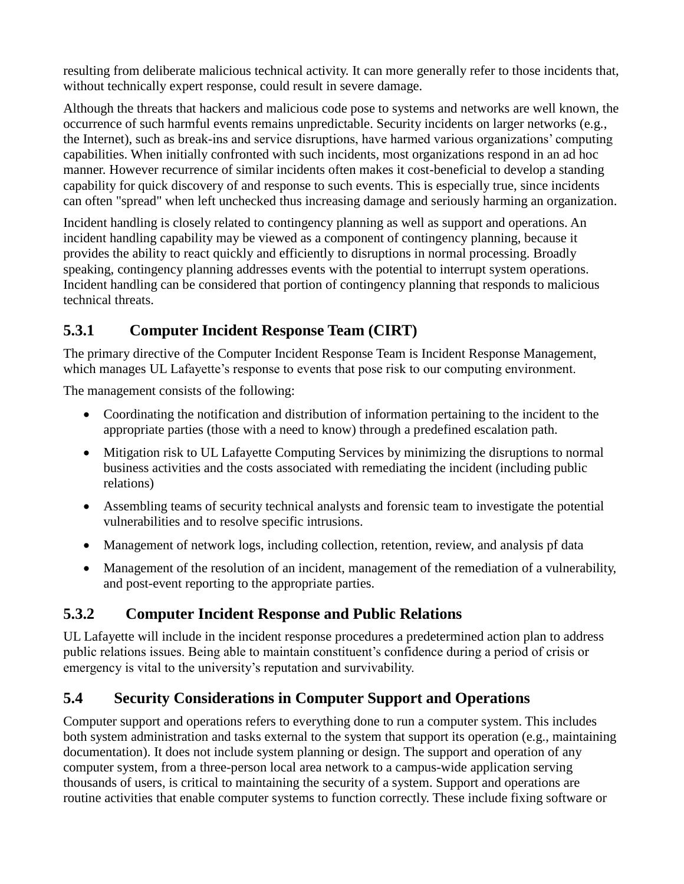resulting from deliberate malicious technical activity. It can more generally refer to those incidents that, without technically expert response, could result in severe damage.

Although the threats that hackers and malicious code pose to systems and networks are well known, the occurrence of such harmful events remains unpredictable. Security incidents on larger networks (e.g., the Internet), such as break-ins and service disruptions, have harmed various organizations' computing capabilities. When initially confronted with such incidents, most organizations respond in an ad hoc manner. However recurrence of similar incidents often makes it cost-beneficial to develop a standing capability for quick discovery of and response to such events. This is especially true, since incidents can often "spread" when left unchecked thus increasing damage and seriously harming an organization.

Incident handling is closely related to contingency planning as well as support and operations. An incident handling capability may be viewed as a component of contingency planning, because it provides the ability to react quickly and efficiently to disruptions in normal processing. Broadly speaking, contingency planning addresses events with the potential to interrupt system operations. Incident handling can be considered that portion of contingency planning that responds to malicious technical threats.

# **5.3.1 Computer Incident Response Team (CIRT)**

The primary directive of the Computer Incident Response Team is Incident Response Management, which manages UL Lafayette's response to events that pose risk to our computing environment.

The management consists of the following:

- Coordinating the notification and distribution of information pertaining to the incident to the appropriate parties (those with a need to know) through a predefined escalation path.
- Mitigation risk to UL Lafayette Computing Services by minimizing the disruptions to normal business activities and the costs associated with remediating the incident (including public relations)
- Assembling teams of security technical analysts and forensic team to investigate the potential vulnerabilities and to resolve specific intrusions.
- Management of network logs, including collection, retention, review, and analysis pf data
- Management of the resolution of an incident, management of the remediation of a vulnerability, and post-event reporting to the appropriate parties.

# **5.3.2 Computer Incident Response and Public Relations**

UL Lafayette will include in the incident response procedures a predetermined action plan to address public relations issues. Being able to maintain constituent's confidence during a period of crisis or emergency is vital to the university's reputation and survivability.

# **5.4 Security Considerations in Computer Support and Operations**

Computer support and operations refers to everything done to run a computer system. This includes both system administration and tasks external to the system that support its operation (e.g., maintaining documentation). It does not include system planning or design. The support and operation of any computer system, from a three-person local area network to a campus-wide application serving thousands of users, is critical to maintaining the security of a system. Support and operations are routine activities that enable computer systems to function correctly. These include fixing software or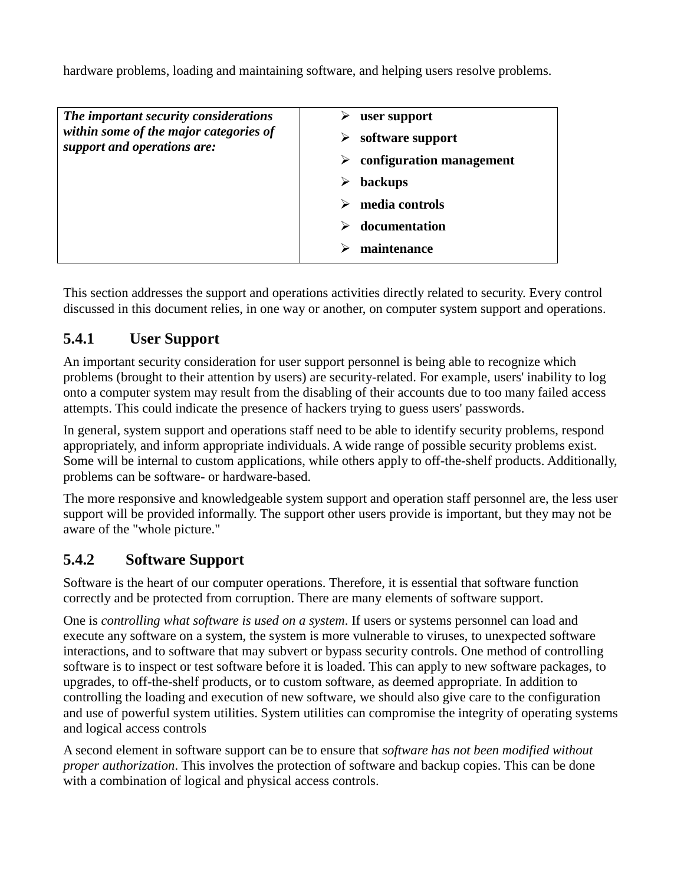hardware problems, loading and maintaining software, and helping users resolve problems.

| The important security considerations<br>within some of the major categories of<br>support and operations are: | user support<br>software support<br>➤<br>configuration management<br>➤<br><b>backups</b><br>media controls<br>documentation<br>maintenance |
|----------------------------------------------------------------------------------------------------------------|--------------------------------------------------------------------------------------------------------------------------------------------|
|----------------------------------------------------------------------------------------------------------------|--------------------------------------------------------------------------------------------------------------------------------------------|

This section addresses the support and operations activities directly related to security. Every control discussed in this document relies, in one way or another, on computer system support and operations.

# **5.4.1 User Support**

An important security consideration for user support personnel is being able to recognize which problems (brought to their attention by users) are security-related. For example, users' inability to log onto a computer system may result from the disabling of their accounts due to too many failed access attempts. This could indicate the presence of hackers trying to guess users' passwords.

In general, system support and operations staff need to be able to identify security problems, respond appropriately, and inform appropriate individuals. A wide range of possible security problems exist. Some will be internal to custom applications, while others apply to off-the-shelf products. Additionally, problems can be software- or hardware-based.

The more responsive and knowledgeable system support and operation staff personnel are, the less user support will be provided informally. The support other users provide is important, but they may not be aware of the "whole picture."

# **5.4.2 Software Support**

Software is the heart of our computer operations. Therefore, it is essential that software function correctly and be protected from corruption. There are many elements of software support.

One is *controlling what software is used on a system*. If users or systems personnel can load and execute any software on a system, the system is more vulnerable to viruses, to unexpected software interactions, and to software that may subvert or bypass security controls. One method of controlling software is to inspect or test software before it is loaded. This can apply to new software packages, to upgrades, to off-the-shelf products, or to custom software, as deemed appropriate. In addition to controlling the loading and execution of new software, we should also give care to the configuration and use of powerful system utilities. System utilities can compromise the integrity of operating systems and logical access controls

A second element in software support can be to ensure that *software has not been modified without proper authorization*. This involves the protection of software and backup copies. This can be done with a combination of logical and physical access controls.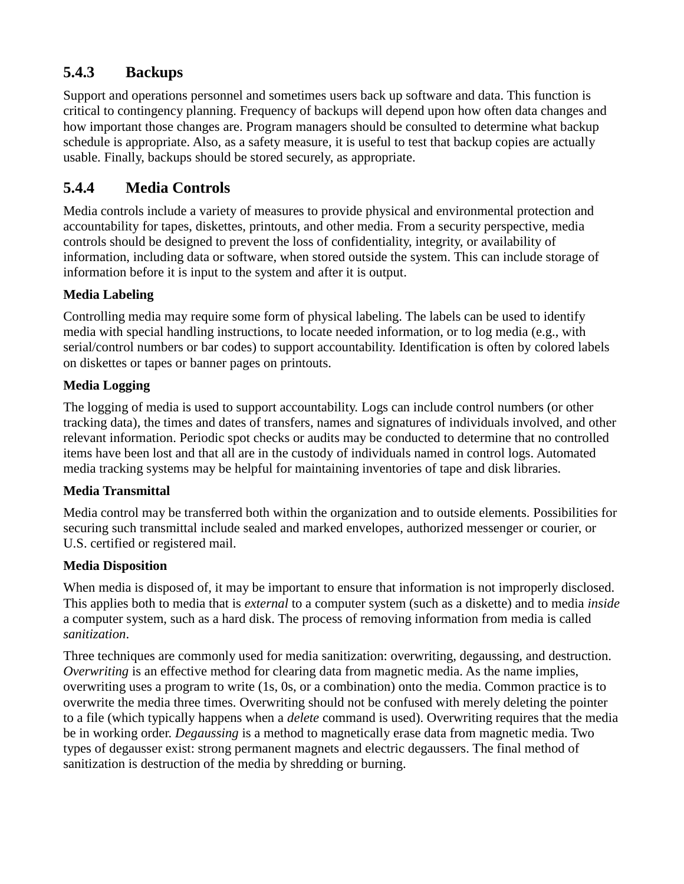## **5.4.3 Backups**

Support and operations personnel and sometimes users back up software and data. This function is critical to contingency planning. Frequency of backups will depend upon how often data changes and how important those changes are. Program managers should be consulted to determine what backup schedule is appropriate. Also, as a safety measure, it is useful to test that backup copies are actually usable. Finally, backups should be stored securely, as appropriate.

#### **5.4.4 Media Controls**

Media controls include a variety of measures to provide physical and environmental protection and accountability for tapes, diskettes, printouts, and other media. From a security perspective, media controls should be designed to prevent the loss of confidentiality, integrity, or availability of information, including data or software, when stored outside the system. This can include storage of information before it is input to the system and after it is output.

#### **Media Labeling**

Controlling media may require some form of physical labeling. The labels can be used to identify media with special handling instructions, to locate needed information, or to log media (e.g., with serial/control numbers or bar codes) to support accountability. Identification is often by colored labels on diskettes or tapes or banner pages on printouts.

#### **Media Logging**

The logging of media is used to support accountability. Logs can include control numbers (or other tracking data), the times and dates of transfers, names and signatures of individuals involved, and other relevant information. Periodic spot checks or audits may be conducted to determine that no controlled items have been lost and that all are in the custody of individuals named in control logs. Automated media tracking systems may be helpful for maintaining inventories of tape and disk libraries.

#### **Media Transmittal**

Media control may be transferred both within the organization and to outside elements. Possibilities for securing such transmittal include sealed and marked envelopes, authorized messenger or courier, or U.S. certified or registered mail.

#### **Media Disposition**

When media is disposed of, it may be important to ensure that information is not improperly disclosed. This applies both to media that is *external* to a computer system (such as a diskette) and to media *inside* a computer system, such as a hard disk. The process of removing information from media is called *sanitization*.

Three techniques are commonly used for media sanitization: overwriting, degaussing, and destruction. *Overwriting* is an effective method for clearing data from magnetic media. As the name implies, overwriting uses a program to write (1s, 0s, or a combination) onto the media. Common practice is to overwrite the media three times. Overwriting should not be confused with merely deleting the pointer to a file (which typically happens when a *delete* command is used). Overwriting requires that the media be in working order. *Degaussing* is a method to magnetically erase data from magnetic media. Two types of degausser exist: strong permanent magnets and electric degaussers. The final method of sanitization is destruction of the media by shredding or burning.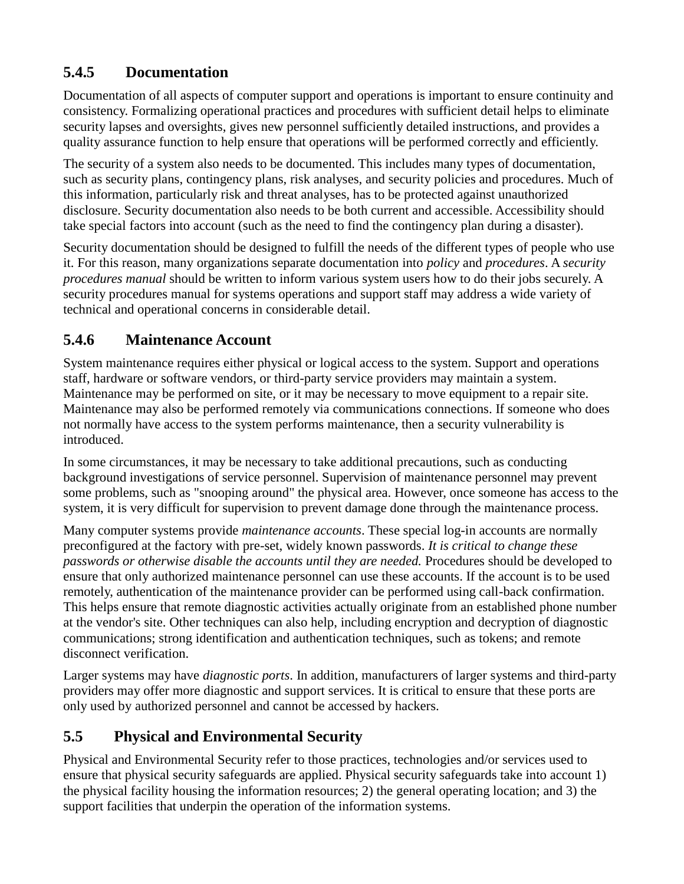# **5.4.5 Documentation**

Documentation of all aspects of computer support and operations is important to ensure continuity and consistency. Formalizing operational practices and procedures with sufficient detail helps to eliminate security lapses and oversights, gives new personnel sufficiently detailed instructions, and provides a quality assurance function to help ensure that operations will be performed correctly and efficiently.

The security of a system also needs to be documented. This includes many types of documentation, such as security plans, contingency plans, risk analyses, and security policies and procedures. Much of this information, particularly risk and threat analyses, has to be protected against unauthorized disclosure. Security documentation also needs to be both current and accessible. Accessibility should take special factors into account (such as the need to find the contingency plan during a disaster).

Security documentation should be designed to fulfill the needs of the different types of people who use it. For this reason, many organizations separate documentation into *policy* and *procedures*. A *security procedures manual* should be written to inform various system users how to do their jobs securely. A security procedures manual for systems operations and support staff may address a wide variety of technical and operational concerns in considerable detail.

# **5.4.6 Maintenance Account**

System maintenance requires either physical or logical access to the system. Support and operations staff, hardware or software vendors, or third-party service providers may maintain a system. Maintenance may be performed on site, or it may be necessary to move equipment to a repair site. Maintenance may also be performed remotely via communications connections. If someone who does not normally have access to the system performs maintenance, then a security vulnerability is introduced.

In some circumstances, it may be necessary to take additional precautions, such as conducting background investigations of service personnel. Supervision of maintenance personnel may prevent some problems, such as "snooping around" the physical area. However, once someone has access to the system, it is very difficult for supervision to prevent damage done through the maintenance process.

Many computer systems provide *maintenance accounts*. These special log-in accounts are normally preconfigured at the factory with pre-set, widely known passwords. *It is critical to change these passwords or otherwise disable the accounts until they are needed.* Procedures should be developed to ensure that only authorized maintenance personnel can use these accounts. If the account is to be used remotely, authentication of the maintenance provider can be performed using call-back confirmation. This helps ensure that remote diagnostic activities actually originate from an established phone number at the vendor's site. Other techniques can also help, including encryption and decryption of diagnostic communications; strong identification and authentication techniques, such as tokens; and remote disconnect verification.

Larger systems may have *diagnostic ports*. In addition, manufacturers of larger systems and third-party providers may offer more diagnostic and support services. It is critical to ensure that these ports are only used by authorized personnel and cannot be accessed by hackers.

### **5.5 Physical and Environmental Security**

Physical and Environmental Security refer to those practices, technologies and/or services used to ensure that physical security safeguards are applied. Physical security safeguards take into account 1) the physical facility housing the information resources; 2) the general operating location; and 3) the support facilities that underpin the operation of the information systems.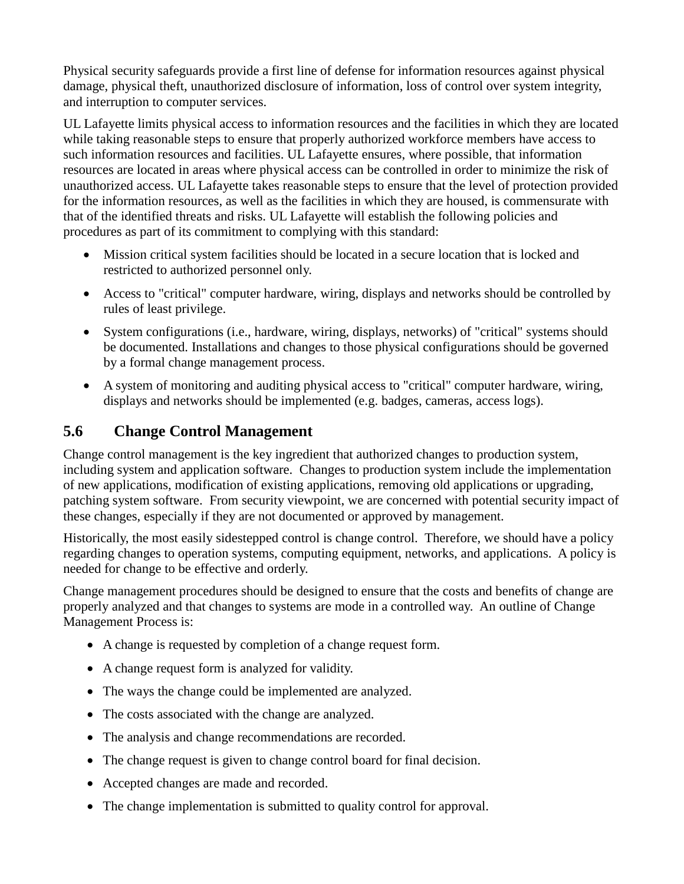Physical security safeguards provide a first line of defense for information resources against physical damage, physical theft, unauthorized disclosure of information, loss of control over system integrity, and interruption to computer services.

UL Lafayette limits physical access to information resources and the facilities in which they are located while taking reasonable steps to ensure that properly authorized workforce members have access to such information resources and facilities. UL Lafayette ensures, where possible, that information resources are located in areas where physical access can be controlled in order to minimize the risk of unauthorized access. UL Lafayette takes reasonable steps to ensure that the level of protection provided for the information resources, as well as the facilities in which they are housed, is commensurate with that of the identified threats and risks. UL Lafayette will establish the following policies and procedures as part of its commitment to complying with this standard:

- Mission critical system facilities should be located in a secure location that is locked and restricted to authorized personnel only.
- Access to "critical" computer hardware, wiring, displays and networks should be controlled by rules of least privilege.
- System configurations (i.e., hardware, wiring, displays, networks) of "critical" systems should be documented. Installations and changes to those physical configurations should be governed by a formal change management process.
- A system of monitoring and auditing physical access to "critical" computer hardware, wiring, displays and networks should be implemented (e.g. badges, cameras, access logs).

### **5.6 Change Control Management**

Change control management is the key ingredient that authorized changes to production system, including system and application software. Changes to production system include the implementation of new applications, modification of existing applications, removing old applications or upgrading, patching system software. From security viewpoint, we are concerned with potential security impact of these changes, especially if they are not documented or approved by management.

Historically, the most easily sidestepped control is change control. Therefore, we should have a policy regarding changes to operation systems, computing equipment, networks, and applications. A policy is needed for change to be effective and orderly.

Change management procedures should be designed to ensure that the costs and benefits of change are properly analyzed and that changes to systems are mode in a controlled way. An outline of Change Management Process is:

- A change is requested by completion of a change request form.
- A change request form is analyzed for validity.
- The ways the change could be implemented are analyzed.
- The costs associated with the change are analyzed.
- The analysis and change recommendations are recorded.
- The change request is given to change control board for final decision.
- Accepted changes are made and recorded.
- The change implementation is submitted to quality control for approval.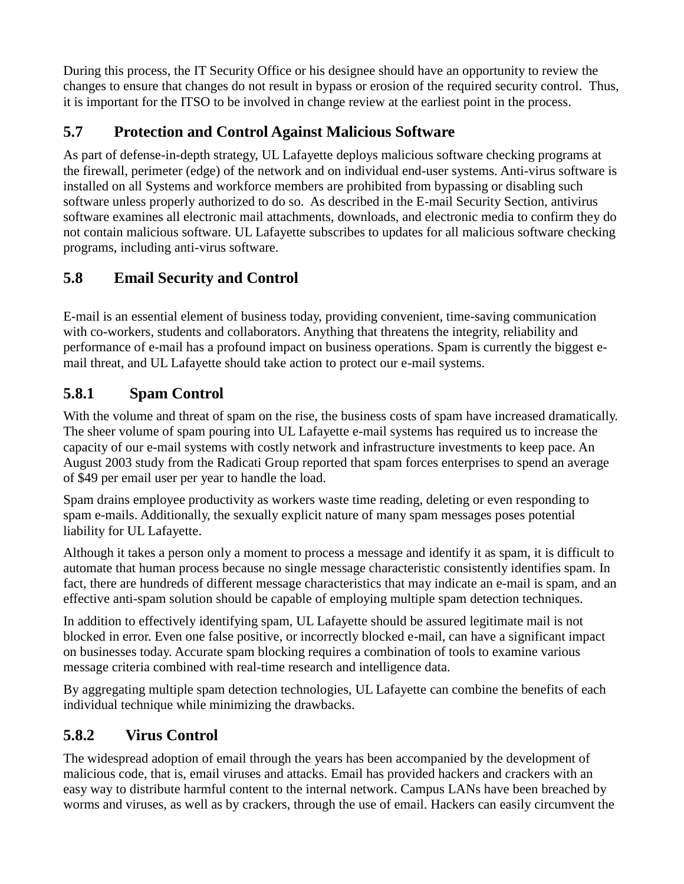During this process, the IT Security Office or his designee should have an opportunity to review the changes to ensure that changes do not result in bypass or erosion of the required security control. Thus, it is important for the ITSO to be involved in change review at the earliest point in the process.

### **5.7 Protection and Control Against Malicious Software**

As part of defense-in-depth strategy, UL Lafayette deploys malicious software checking programs at the firewall, perimeter (edge) of the network and on individual end-user systems. Anti-virus software is installed on all Systems and workforce members are prohibited from bypassing or disabling such software unless properly authorized to do so. As described in the E-mail Security Section, antivirus software examines all electronic mail attachments, downloads, and electronic media to confirm they do not contain malicious software. UL Lafayette subscribes to updates for all malicious software checking programs, including anti-virus software.

# **5.8 Email Security and Control**

E-mail is an essential element of business today, providing convenient, time-saving communication with co-workers, students and collaborators. Anything that threatens the integrity, reliability and performance of e-mail has a profound impact on business operations. Spam is currently the biggest email threat, and UL Lafayette should take action to protect our e-mail systems.

# **5.8.1 Spam Control**

With the volume and threat of spam on the rise, the business costs of spam have increased dramatically. The sheer volume of spam pouring into UL Lafayette e-mail systems has required us to increase the capacity of our e-mail systems with costly network and infrastructure investments to keep pace. An August 2003 study from the Radicati Group reported that spam forces enterprises to spend an average of \$49 per email user per year to handle the load.

Spam drains employee productivity as workers waste time reading, deleting or even responding to spam e-mails. Additionally, the sexually explicit nature of many spam messages poses potential liability for UL Lafayette.

Although it takes a person only a moment to process a message and identify it as spam, it is difficult to automate that human process because no single message characteristic consistently identifies spam. In fact, there are hundreds of different message characteristics that may indicate an e-mail is spam, and an effective anti-spam solution should be capable of employing multiple spam detection techniques.

In addition to effectively identifying spam, UL Lafayette should be assured legitimate mail is not blocked in error. Even one false positive, or incorrectly blocked e-mail, can have a significant impact on businesses today. Accurate spam blocking requires a combination of tools to examine various message criteria combined with real-time research and intelligence data.

By aggregating multiple spam detection technologies, UL Lafayette can combine the benefits of each individual technique while minimizing the drawbacks.

# **5.8.2 Virus Control**

The widespread adoption of email through the years has been accompanied by the development of malicious code, that is, email viruses and attacks. Email has provided hackers and crackers with an easy way to distribute harmful content to the internal network. Campus LANs have been breached by worms and viruses, as well as by crackers, through the use of email. Hackers can easily circumvent the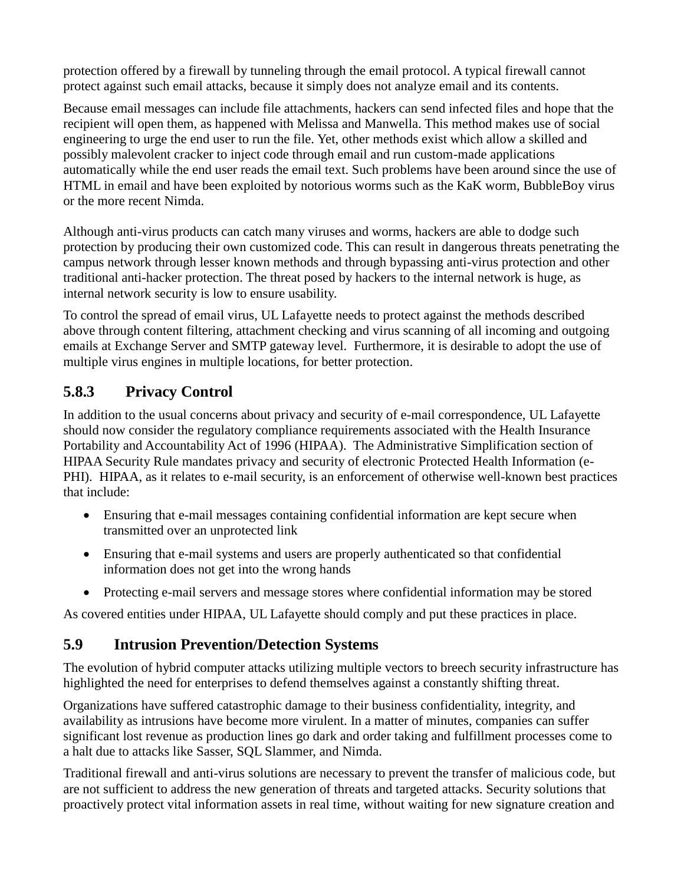protection offered by a firewall by tunneling through the email protocol. A typical firewall cannot protect against such email attacks, because it simply does not analyze email and its contents.

Because email messages can include file attachments, hackers can send infected files and hope that the recipient will open them, as happened with Melissa and Manwella. This method makes use of social engineering to urge the end user to run the file. Yet, other methods exist which allow a skilled and possibly malevolent cracker to inject code through email and run custom-made applications automatically while the end user reads the email text. Such problems have been around since the use of HTML in email and have been exploited by notorious worms such as the KaK worm, BubbleBoy virus or the more recent Nimda.

Although anti-virus products can catch many viruses and worms, hackers are able to dodge such protection by producing their own customized code. This can result in dangerous threats penetrating the campus network through lesser known methods and through bypassing anti-virus protection and other traditional anti-hacker protection. The threat posed by hackers to the internal network is huge, as internal network security is low to ensure usability.

To control the spread of email virus, UL Lafayette needs to protect against the methods described above through content filtering, attachment checking and virus scanning of all incoming and outgoing emails at Exchange Server and SMTP gateway level. Furthermore, it is desirable to adopt the use of multiple virus engines in multiple locations, for better protection.

# **5.8.3 Privacy Control**

In addition to the usual concerns about privacy and security of e-mail correspondence, UL Lafayette should now consider the regulatory compliance requirements associated with the Health Insurance Portability and Accountability Act of 1996 (HIPAA). The Administrative Simplification section of HIPAA Security Rule mandates privacy and security of electronic Protected Health Information (e-PHI). HIPAA, as it relates to e-mail security, is an enforcement of otherwise well-known best practices that include:

- Ensuring that e-mail messages containing confidential information are kept secure when transmitted over an unprotected link
- Ensuring that e-mail systems and users are properly authenticated so that confidential information does not get into the wrong hands
- Protecting e-mail servers and message stores where confidential information may be stored

As covered entities under HIPAA, UL Lafayette should comply and put these practices in place.

### **5.9 Intrusion Prevention/Detection Systems**

The evolution of hybrid computer attacks utilizing multiple vectors to breech security infrastructure has highlighted the need for enterprises to defend themselves against a constantly shifting threat.

Organizations have suffered catastrophic damage to their business confidentiality, integrity, and availability as intrusions have become more virulent. In a matter of minutes, companies can suffer significant lost revenue as production lines go dark and order taking and fulfillment processes come to a halt due to attacks like Sasser, SQL Slammer, and Nimda.

Traditional firewall and anti-virus solutions are necessary to prevent the transfer of malicious code, but are not sufficient to address the new generation of threats and targeted attacks. Security solutions that proactively protect vital information assets in real time, without waiting for new signature creation and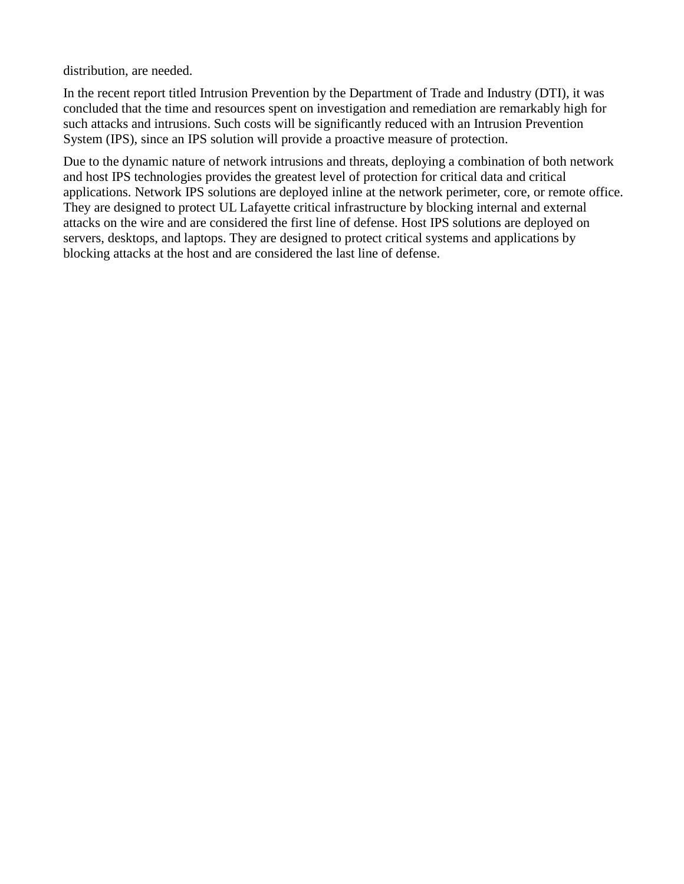distribution, are needed.

In the recent report titled Intrusion Prevention by the Department of Trade and Industry (DTI), it was concluded that the time and resources spent on investigation and remediation are remarkably high for such attacks and intrusions. Such costs will be significantly reduced with an Intrusion Prevention System (IPS), since an IPS solution will provide a proactive measure of protection.

Due to the dynamic nature of network intrusions and threats, deploying a combination of both network and host IPS technologies provides the greatest level of protection for critical data and critical applications. Network IPS solutions are deployed inline at the network perimeter, core, or remote office. They are designed to protect UL Lafayette critical infrastructure by blocking internal and external attacks on the wire and are considered the first line of defense. Host IPS solutions are deployed on servers, desktops, and laptops. They are designed to protect critical systems and applications by blocking attacks at the host and are considered the last line of defense.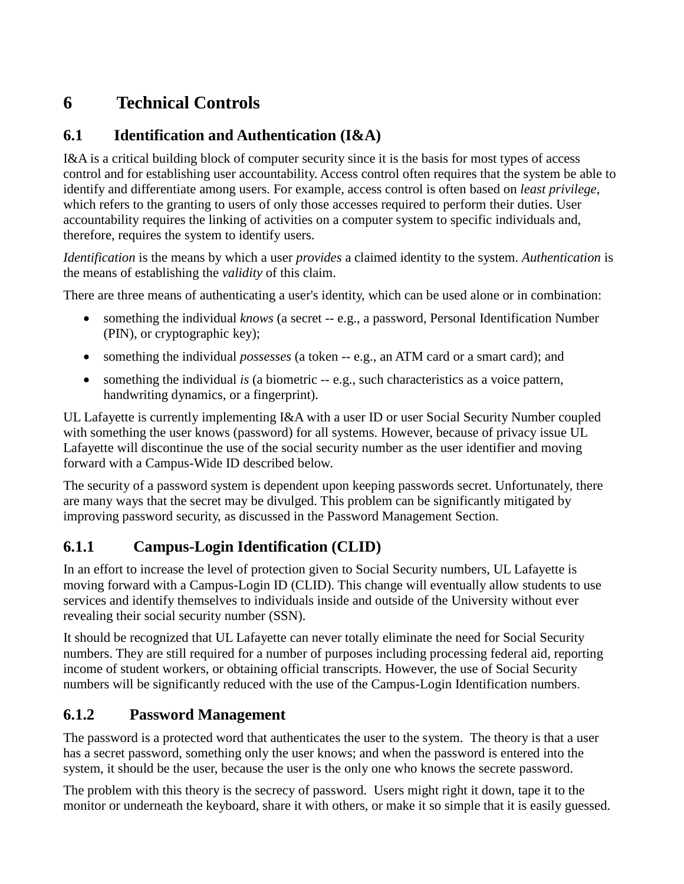# **6 Technical Controls**

## **6.1 Identification and Authentication (I&A)**

I&A is a critical building block of computer security since it is the basis for most types of access control and for establishing user accountability. Access control often requires that the system be able to identify and differentiate among users. For example, access control is often based on *least privilege*, which refers to the granting to users of only those accesses required to perform their duties. User accountability requires the linking of activities on a computer system to specific individuals and, therefore, requires the system to identify users.

*Identification* is the means by which a user *provides* a claimed identity to the system. *Authentication* is the means of establishing the *validity* of this claim.

There are three means of authenticating a user's identity, which can be used alone or in combination:

- something the individual *knows* (a secret -- e.g., a password, Personal Identification Number (PIN), or cryptographic key);
- something the individual *possesses* (a token -- e.g., an ATM card or a smart card); and
- something the individual *is* (a biometric -- e.g., such characteristics as a voice pattern, handwriting dynamics, or a fingerprint).

UL Lafayette is currently implementing I&A with a user ID or user Social Security Number coupled with something the user knows (password) for all systems. However, because of privacy issue UL Lafayette will discontinue the use of the social security number as the user identifier and moving forward with a Campus-Wide ID described below.

The security of a password system is dependent upon keeping passwords secret. Unfortunately, there are many ways that the secret may be divulged. This problem can be significantly mitigated by improving password security, as discussed in the Password Management Section.

# **6.1.1 Campus-Login Identification (CLID)**

In an effort to increase the level of protection given to Social Security numbers, UL Lafayette is moving forward with a Campus-Login ID (CLID). This change will eventually allow students to use services and identify themselves to individuals inside and outside of the University without ever revealing their social security number (SSN).

It should be recognized that UL Lafayette can never totally eliminate the need for Social Security numbers. They are still required for a number of purposes including processing federal aid, reporting income of student workers, or obtaining official transcripts. However, the use of Social Security numbers will be significantly reduced with the use of the Campus-Login Identification numbers.

### **6.1.2 Password Management**

The password is a protected word that authenticates the user to the system. The theory is that a user has a secret password, something only the user knows; and when the password is entered into the system, it should be the user, because the user is the only one who knows the secrete password.

The problem with this theory is the secrecy of password. Users might right it down, tape it to the monitor or underneath the keyboard, share it with others, or make it so simple that it is easily guessed.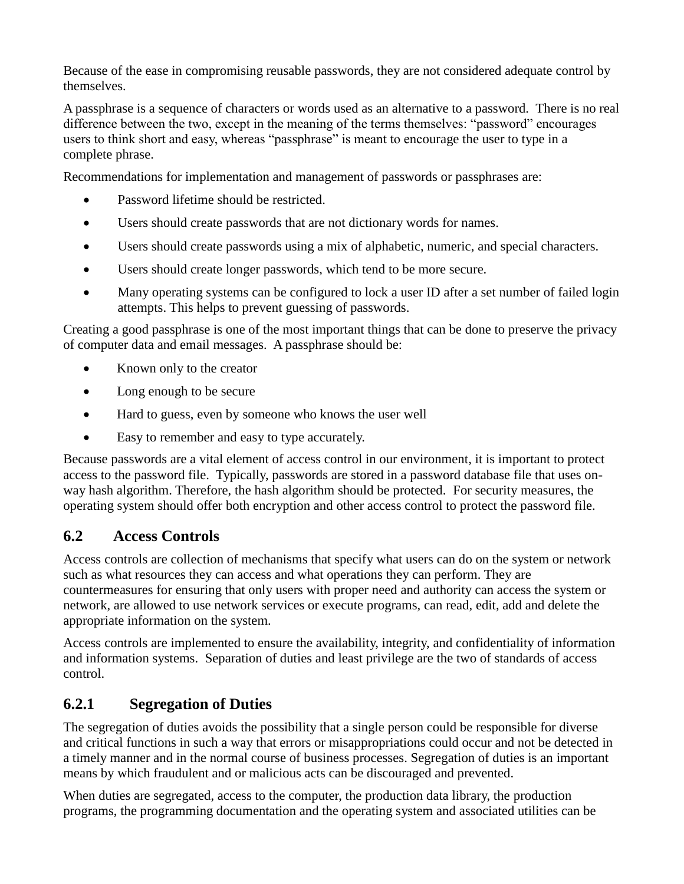Because of the ease in compromising reusable passwords, they are not considered adequate control by themselves.

A passphrase is a sequence of characters or words used as an alternative to a password. There is no real difference between the two, except in the meaning of the terms themselves: "password" encourages users to think short and easy, whereas "passphrase" is meant to encourage the user to type in a complete phrase.

Recommendations for implementation and management of passwords or passphrases are:

- Password lifetime should be restricted.
- Users should create passwords that are not dictionary words for names.
- Users should create passwords using a mix of alphabetic, numeric, and special characters.
- Users should create longer passwords, which tend to be more secure.
- Many operating systems can be configured to lock a user ID after a set number of failed login attempts. This helps to prevent guessing of passwords.

Creating a good passphrase is one of the most important things that can be done to preserve the privacy of computer data and email messages. A passphrase should be:

- Known only to the creator
- Long enough to be secure
- Hard to guess, even by someone who knows the user well
- Easy to remember and easy to type accurately.

Because passwords are a vital element of access control in our environment, it is important to protect access to the password file. Typically, passwords are stored in a password database file that uses onway hash algorithm. Therefore, the hash algorithm should be protected. For security measures, the operating system should offer both encryption and other access control to protect the password file.

#### **6.2 Access Controls**

Access controls are collection of mechanisms that specify what users can do on the system or network such as what resources they can access and what operations they can perform. They are countermeasures for ensuring that only users with proper need and authority can access the system or network, are allowed to use network services or execute programs, can read, edit, add and delete the appropriate information on the system.

Access controls are implemented to ensure the availability, integrity, and confidentiality of information and information systems. Separation of duties and least privilege are the two of standards of access control.

### **6.2.1 Segregation of Duties**

The segregation of duties avoids the possibility that a single person could be responsible for diverse and critical functions in such a way that errors or misappropriations could occur and not be detected in a timely manner and in the normal course of business processes. Segregation of duties is an important means by which fraudulent and or malicious acts can be discouraged and prevented.

When duties are segregated, access to the computer, the production data library, the production programs, the programming documentation and the operating system and associated utilities can be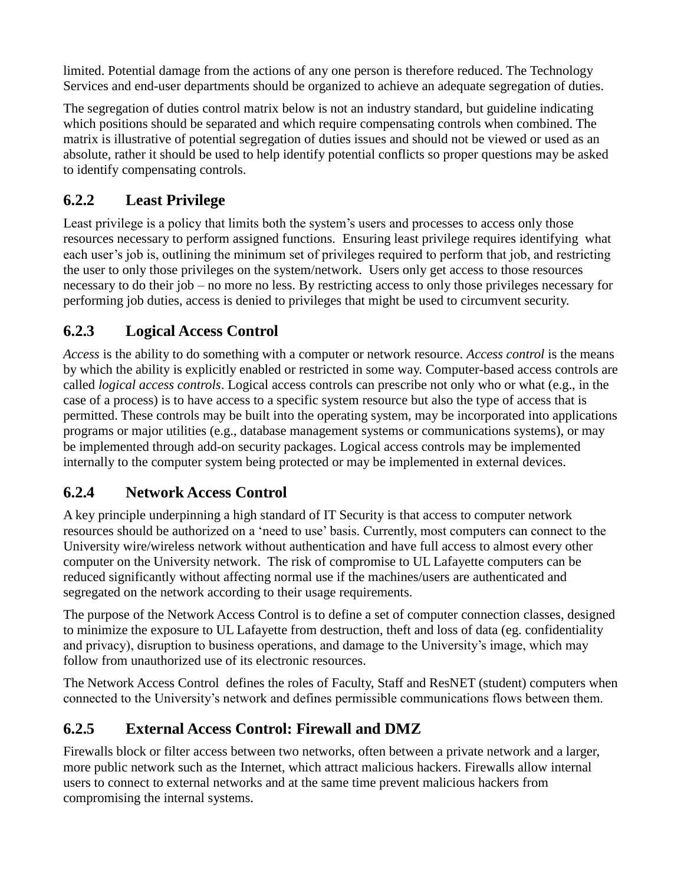limited. Potential damage from the actions of any one person is therefore reduced. The Technology Services and end-user departments should be organized to achieve an adequate segregation of duties.

The segregation of duties control matrix below is not an industry standard, but guideline indicating which positions should be separated and which require compensating controls when combined. The matrix is illustrative of potential segregation of duties issues and should not be viewed or used as an absolute, rather it should be used to help identify potential conflicts so proper questions may be asked to identify compensating controls.

# **6.2.2 Least Privilege**

Least privilege is a policy that limits both the system's users and processes to access only those resources necessary to perform assigned functions. Ensuring least privilege requires identifying what each user's job is, outlining the minimum set of privileges required to perform that job, and restricting the user to only those privileges on the system/network. Users only get access to those resources necessary to do their job – no more no less. By restricting access to only those privileges necessary for performing job duties, access is denied to privileges that might be used to circumvent security.

# **6.2.3 Logical Access Control**

*Access* is the ability to do something with a computer or network resource. *Access control* is the means by which the ability is explicitly enabled or restricted in some way. Computer-based access controls are called *logical access controls*. Logical access controls can prescribe not only who or what (e.g., in the case of a process) is to have access to a specific system resource but also the type of access that is permitted. These controls may be built into the operating system, may be incorporated into applications programs or major utilities (e.g., database management systems or communications systems), or may be implemented through add-on security packages. Logical access controls may be implemented internally to the computer system being protected or may be implemented in external devices.

### **6.2.4 Network Access Control**

A key principle underpinning a high standard of IT Security is that access to computer network resources should be authorized on a 'need to use' basis. Currently, most computers can connect to the University wire/wireless network without authentication and have full access to almost every other computer on the University network. The risk of compromise to UL Lafayette computers can be reduced significantly without affecting normal use if the machines/users are authenticated and segregated on the network according to their usage requirements.

The purpose of the Network Access Control is to define a set of computer connection classes, designed to minimize the exposure to UL Lafayette from destruction, theft and loss of data (eg. confidentiality and privacy), disruption to business operations, and damage to the University's image, which may follow from unauthorized use of its electronic resources.

The Network Access Control defines the roles of Faculty, Staff and ResNET (student) computers when connected to the University's network and defines permissible communications flows between them.

# **6.2.5 External Access Control: Firewall and DMZ**

Firewalls block or filter access between two networks, often between a private network and a larger, more public network such as the Internet, which attract malicious hackers. Firewalls allow internal users to connect to external networks and at the same time prevent malicious hackers from compromising the internal systems.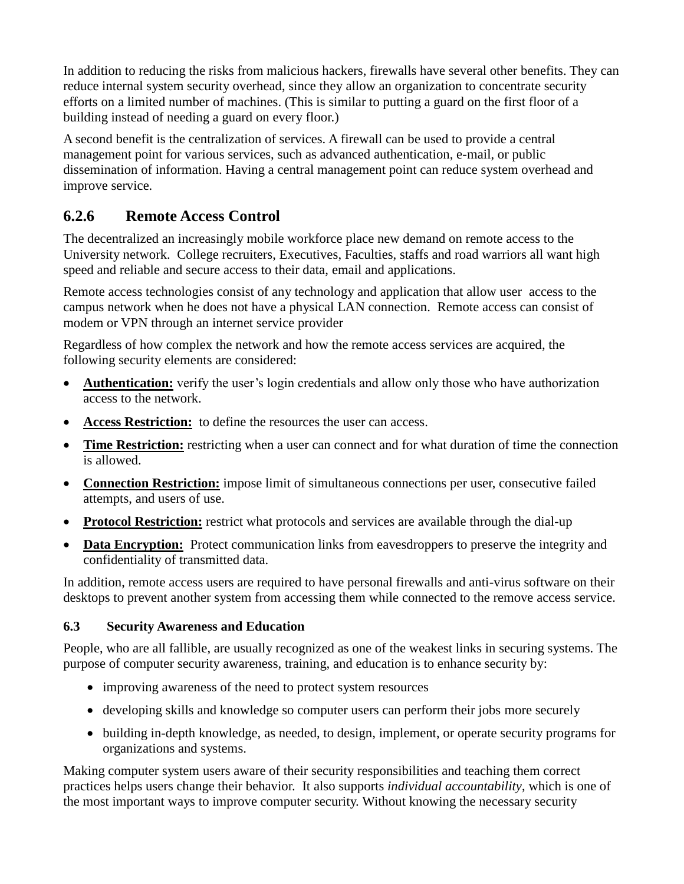In addition to reducing the risks from malicious hackers, firewalls have several other benefits. They can reduce internal system security overhead, since they allow an organization to concentrate security efforts on a limited number of machines. (This is similar to putting a guard on the first floor of a building instead of needing a guard on every floor.)

A second benefit is the centralization of services. A firewall can be used to provide a central management point for various services, such as advanced authentication, e-mail, or public dissemination of information. Having a central management point can reduce system overhead and improve service.

### **6.2.6 Remote Access Control**

The decentralized an increasingly mobile workforce place new demand on remote access to the University network. College recruiters, Executives, Faculties, staffs and road warriors all want high speed and reliable and secure access to their data, email and applications.

Remote access technologies consist of any technology and application that allow user access to the campus network when he does not have a physical LAN connection. Remote access can consist of modem or VPN through an internet service provider

Regardless of how complex the network and how the remote access services are acquired, the following security elements are considered:

- **Authentication:** verify the user's login credentials and allow only those who have authorization access to the network.
- **Access Restriction:** to define the resources the user can access.
- **Time Restriction:** restricting when a user can connect and for what duration of time the connection is allowed.
- **Connection Restriction:** impose limit of simultaneous connections per user, consecutive failed attempts, and users of use.
- **Protocol Restriction:** restrict what protocols and services are available through the dial-up
- **Data Encryption:** Protect communication links from eavesdroppers to preserve the integrity and confidentiality of transmitted data.

In addition, remote access users are required to have personal firewalls and anti-virus software on their desktops to prevent another system from accessing them while connected to the remove access service.

#### **6.3 Security Awareness and Education**

People, who are all fallible, are usually recognized as one of the weakest links in securing systems. The purpose of computer security awareness, training, and education is to enhance security by:

- improving awareness of the need to protect system resources
- developing skills and knowledge so computer users can perform their jobs more securely
- building in-depth knowledge, as needed, to design, implement, or operate security programs for organizations and systems.

Making computer system users aware of their security responsibilities and teaching them correct practices helps users change their behavior. It also supports *individual accountability*, which is one of the most important ways to improve computer security. Without knowing the necessary security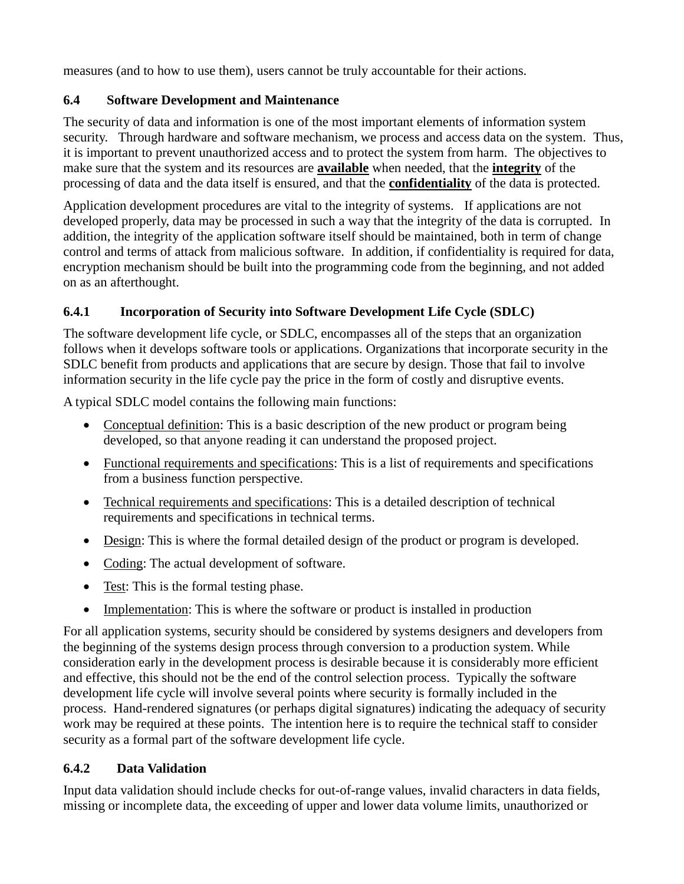measures (and to how to use them), users cannot be truly accountable for their actions.

#### **6.4 Software Development and Maintenance**

The security of data and information is one of the most important elements of information system security. Through hardware and software mechanism, we process and access data on the system. Thus, it is important to prevent unauthorized access and to protect the system from harm. The objectives to make sure that the system and its resources are **available** when needed, that the **integrity** of the processing of data and the data itself is ensured, and that the **confidentiality** of the data is protected.

Application development procedures are vital to the integrity of systems. If applications are not developed properly, data may be processed in such a way that the integrity of the data is corrupted. In addition, the integrity of the application software itself should be maintained, both in term of change control and terms of attack from malicious software. In addition, if confidentiality is required for data, encryption mechanism should be built into the programming code from the beginning, and not added on as an afterthought.

#### **6.4.1 Incorporation of Security into Software Development Life Cycle (SDLC)**

The software development life cycle, or SDLC, encompasses all of the steps that an organization follows when it develops software tools or applications. Organizations that incorporate security in the SDLC benefit from products and applications that are secure by design. Those that fail to involve information security in the life cycle pay the price in the form of costly and disruptive events.

A typical SDLC model contains the following main functions:

- Conceptual definition: This is a basic description of the new product or program being developed, so that anyone reading it can understand the proposed project.
- Functional requirements and specifications: This is a list of requirements and specifications from a business function perspective.
- Technical requirements and specifications: This is a detailed description of technical requirements and specifications in technical terms.
- Design: This is where the formal detailed design of the product or program is developed.
- Coding: The actual development of software.
- Test: This is the formal testing phase.
- Implementation: This is where the software or product is installed in production

For all application systems, security should be considered by systems designers and developers from the beginning of the systems design process through conversion to a production system. While consideration early in the development process is desirable because it is considerably more efficient and effective, this should not be the end of the control selection process. Typically the software development life cycle will involve several points where security is formally included in the process. Hand-rendered signatures (or perhaps digital signatures) indicating the adequacy of security work may be required at these points. The intention here is to require the technical staff to consider security as a formal part of the software development life cycle.

#### **6.4.2 Data Validation**

Input data validation should include checks for out-of-range values, invalid characters in data fields, missing or incomplete data, the exceeding of upper and lower data volume limits, unauthorized or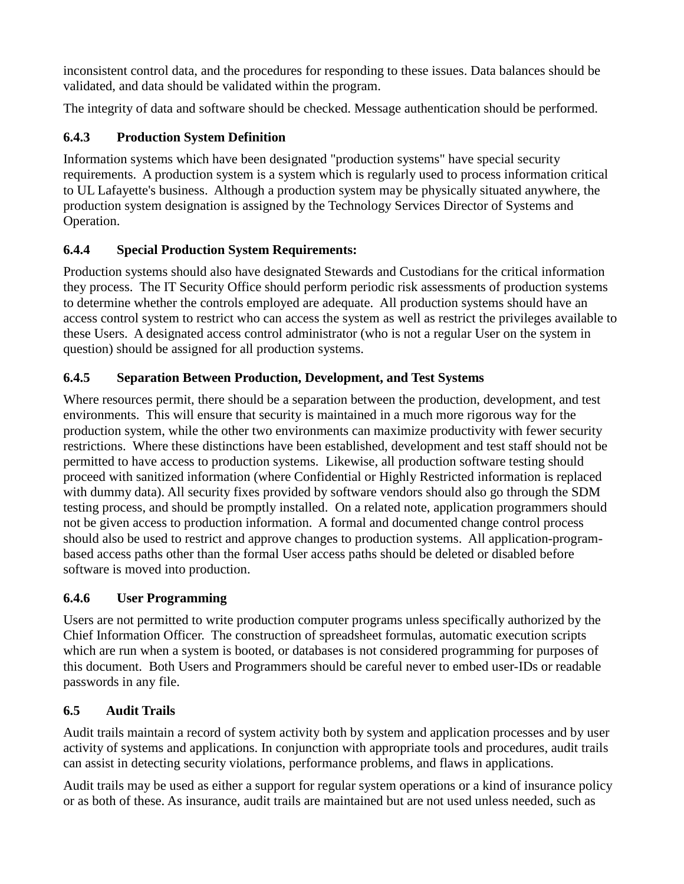inconsistent control data, and the procedures for responding to these issues. Data balances should be validated, and data should be validated within the program.

The integrity of data and software should be checked. Message authentication should be performed.

#### **6.4.3 Production System Definition**

Information systems which have been designated "production systems" have special security requirements. A production system is a system which is regularly used to process information critical to UL Lafayette's business. Although a production system may be physically situated anywhere, the production system designation is assigned by the Technology Services Director of Systems and Operation.

#### **6.4.4 Special Production System Requirements:**

Production systems should also have designated Stewards and Custodians for the critical information they process. The IT Security Office should perform periodic risk assessments of production systems to determine whether the controls employed are adequate. All production systems should have an access control system to restrict who can access the system as well as restrict the privileges available to these Users. A designated access control administrator (who is not a regular User on the system in question) should be assigned for all production systems.

#### **6.4.5 Separation Between Production, Development, and Test Systems**

Where resources permit, there should be a separation between the production, development, and test environments. This will ensure that security is maintained in a much more rigorous way for the production system, while the other two environments can maximize productivity with fewer security restrictions. Where these distinctions have been established, development and test staff should not be permitted to have access to production systems. Likewise, all production software testing should proceed with sanitized information (where Confidential or Highly Restricted information is replaced with dummy data). All security fixes provided by software vendors should also go through the SDM testing process, and should be promptly installed. On a related note, application programmers should not be given access to production information. A formal and documented change control process should also be used to restrict and approve changes to production systems. All application-programbased access paths other than the formal User access paths should be deleted or disabled before software is moved into production.

#### **6.4.6 User Programming**

Users are not permitted to write production computer programs unless specifically authorized by the Chief Information Officer. The construction of spreadsheet formulas, automatic execution scripts which are run when a system is booted, or databases is not considered programming for purposes of this document. Both Users and Programmers should be careful never to embed user-IDs or readable passwords in any file.

### **6.5 Audit Trails**

Audit trails maintain a record of system activity both by system and application processes and by user activity of systems and applications. In conjunction with appropriate tools and procedures, audit trails can assist in detecting security violations, performance problems, and flaws in applications.

Audit trails may be used as either a support for regular system operations or a kind of insurance policy or as both of these. As insurance, audit trails are maintained but are not used unless needed, such as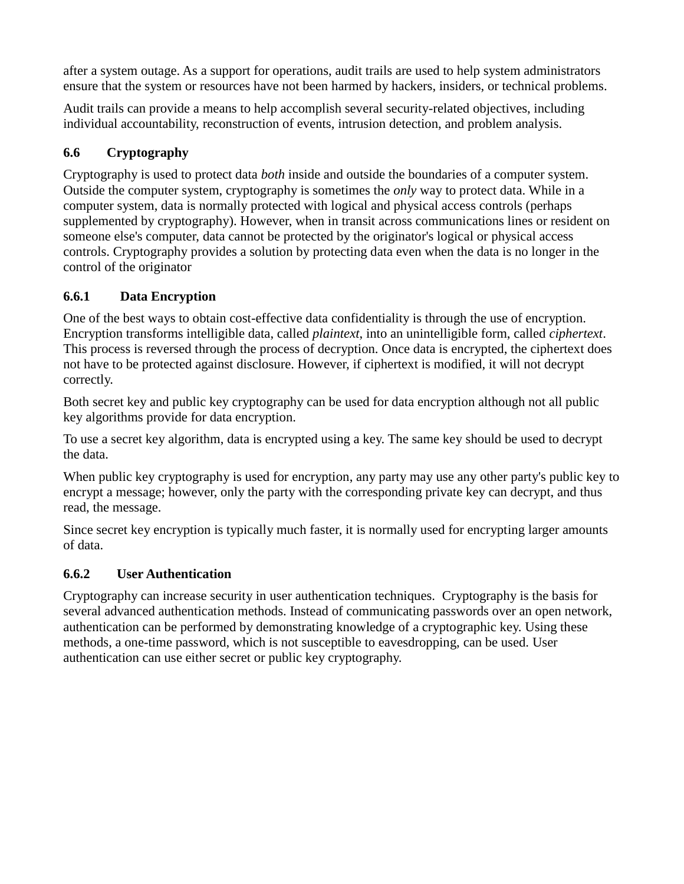after a system outage. As a support for operations, audit trails are used to help system administrators ensure that the system or resources have not been harmed by hackers, insiders, or technical problems.

Audit trails can provide a means to help accomplish several security-related objectives, including individual accountability, reconstruction of events, intrusion detection, and problem analysis.

#### **6.6 Cryptography**

Cryptography is used to protect data *both* inside and outside the boundaries of a computer system. Outside the computer system, cryptography is sometimes the *only* way to protect data. While in a computer system, data is normally protected with logical and physical access controls (perhaps supplemented by cryptography). However, when in transit across communications lines or resident on someone else's computer, data cannot be protected by the originator's logical or physical access controls. Cryptography provides a solution by protecting data even when the data is no longer in the control of the originator

#### **6.6.1 Data Encryption**

One of the best ways to obtain cost-effective data confidentiality is through the use of encryption. Encryption transforms intelligible data, called *plaintext*, into an unintelligible form, called *ciphertext*. This process is reversed through the process of decryption. Once data is encrypted, the ciphertext does not have to be protected against disclosure. However, if ciphertext is modified, it will not decrypt correctly.

Both secret key and public key cryptography can be used for data encryption although not all public key algorithms provide for data encryption.

To use a secret key algorithm, data is encrypted using a key. The same key should be used to decrypt the data.

When public key cryptography is used for encryption, any party may use any other party's public key to encrypt a message; however, only the party with the corresponding private key can decrypt, and thus read, the message.

Since secret key encryption is typically much faster, it is normally used for encrypting larger amounts of data.

#### **6.6.2 User Authentication**

Cryptography can increase security in user authentication techniques. Cryptography is the basis for several advanced authentication methods. Instead of communicating passwords over an open network, authentication can be performed by demonstrating knowledge of a cryptographic key. Using these methods, a one-time password, which is not susceptible to eavesdropping, can be used. User authentication can use either secret or public key cryptography.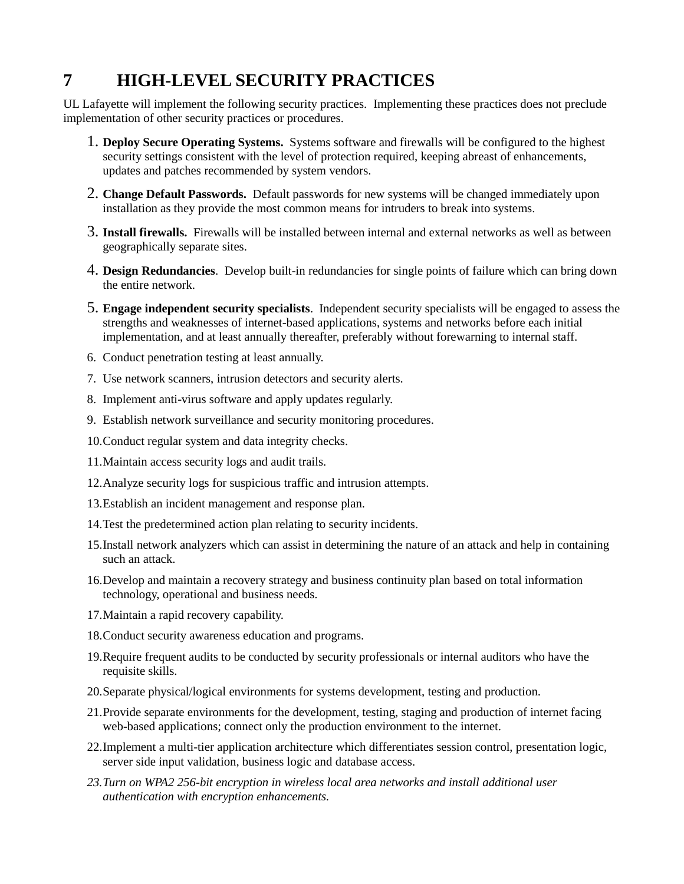# **7 HIGH-LEVEL SECURITY PRACTICES**

UL Lafayette will implement the following security practices. Implementing these practices does not preclude implementation of other security practices or procedures.

- 1. **Deploy Secure Operating Systems.** Systems software and firewalls will be configured to the highest security settings consistent with the level of protection required, keeping abreast of enhancements, updates and patches recommended by system vendors.
- 2. **Change Default Passwords.** Default passwords for new systems will be changed immediately upon installation as they provide the most common means for intruders to break into systems.
- 3. **Install firewalls.** Firewalls will be installed between internal and external networks as well as between geographically separate sites.
- 4. **Design Redundancies**. Develop built-in redundancies for single points of failure which can bring down the entire network.
- 5. **Engage independent security specialists**. Independent security specialists will be engaged to assess the strengths and weaknesses of internet-based applications, systems and networks before each initial implementation, and at least annually thereafter, preferably without forewarning to internal staff.
- 6. Conduct penetration testing at least annually.
- 7. Use network scanners, intrusion detectors and security alerts.
- 8. Implement anti-virus software and apply updates regularly.
- 9. Establish network surveillance and security monitoring procedures.
- 10.Conduct regular system and data integrity checks.
- 11.Maintain access security logs and audit trails.
- 12.Analyze security logs for suspicious traffic and intrusion attempts.
- 13.Establish an incident management and response plan.
- 14.Test the predetermined action plan relating to security incidents.
- 15.Install network analyzers which can assist in determining the nature of an attack and help in containing such an attack.
- 16.Develop and maintain a recovery strategy and business continuity plan based on total information technology, operational and business needs.
- 17.Maintain a rapid recovery capability.
- 18.Conduct security awareness education and programs.
- 19.Require frequent audits to be conducted by security professionals or internal auditors who have the requisite skills.
- 20.Separate physical/logical environments for systems development, testing and production.
- 21.Provide separate environments for the development, testing, staging and production of internet facing web-based applications; connect only the production environment to the internet.
- 22.Implement a multi-tier application architecture which differentiates session control, presentation logic, server side input validation, business logic and database access.
- *23.Turn on WPA2 256-bit encryption in wireless local area networks and install additional user authentication with encryption enhancements.*